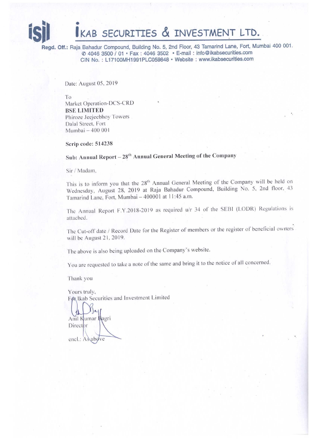# **.** ° IKAB SECURITIES & INVESTMENT LTD.

Regd. Off.: Raja Bahadur Compound, Building No. 5, 2nd Floor, 43 Tamarind Lane, Fort, Mumbai 400 001. © 4046 3500 / <sup>01</sup> - Fax : 4046 3502 - E-mail : info@ikabsecurities.com CIN No. : L17100MH1991PLC059848 - Website : www.ikabsecurities.com

Date: August 05. 2019

n

To Market Operation—DCS—CRD BSE LIMITED Phiroze Jeejcebhoy Towers Dalal Street, Fort Mumbai 7 400 001

Scrip code: 514238

# Sub: Annual Report — <sup>28</sup>'" Annual General Meeting of the Company

Sir/ Madam.

This is to inform you that the 28<sup>th</sup> Annual General Meeting of the Company will be held on Wednesday, August 28, 2019 at Raja Bahadur Compound, Building No. 5, 2nd floor, 43 Tamarind Lane, Fort, Mumbai - 400001 at 11:45 a.m.

The Annual Report F.Y.2018-2019 as required u/r <sup>34</sup> of the SEBI (LODR) Regulations is attached

The Cut-off date / Record Date for the Register of members or the register of beneficial owners will be August 21. 2019.

The above is also being uploaded on the Company's website.

You are requested to take a note of the same and bring it to the notice of all concerned.

Thank you

Yours truly. Før Ikab Securities and Investment Limited

Anil Kumar Bagri Director encl.: As abyve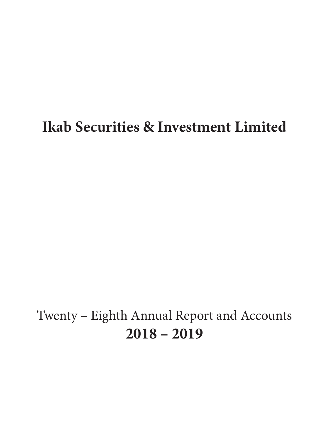# **Ikab Securities & Investment Limited**

Twenty – Eighth Annual Report and Accounts **2018 – 2019**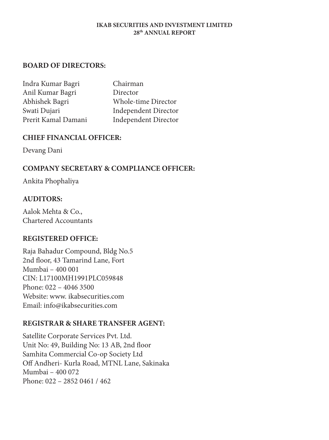# **BOARD OF DIRECTORS:**

| Indra Kumar Bagri   | Chairman                    |
|---------------------|-----------------------------|
| Anil Kumar Bagri    | Director                    |
| Abhishek Bagri      | <b>Whole-time Director</b>  |
| Swati Dujari        | <b>Independent Director</b> |
| Prerit Kamal Damani | <b>Independent Director</b> |

# **CHIEF FINANCIAL OFFICER:**

Devang Dani

# **COMPANY SECRETARY & COMPLIANCE OFFICER:**

Ankita Phophaliya

# **AUDITORS:**

Aalok Mehta & Co., Chartered Accountants

# **REGISTERED OFFICE:**

Raja Bahadur Compound, Bldg No.5 2nd floor, 43 Tamarind Lane, Fort Mumbai – 400 001 CIN: L17100MH1991PLC059848 Phone: 022 – 4046 3500 Website: www. ikabsecurities.com Email: info@ikabsecurities.com

# **REGISTRAR & SHARE TRANSFER AGENT:**

Satellite Corporate Services Pvt. Ltd. Unit No: 49, Building No: 13 AB, 2nd floor Samhita Commercial Co-op Society Ltd Off Andheri- Kurla Road, MTNL Lane, Sakinaka Mumbai – 400 072 Phone: 022 – 2852 0461 / 462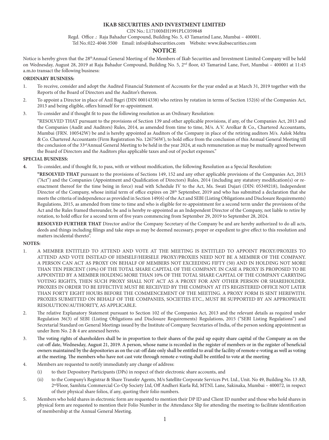#### **IKAB SECURITIES AND INVESTMENT LIMITED**

CIN No.: L17100MH1991PLC059848

Regd. Office .: Raja Bahadur Compound, Building No. 5, 43 Tamarind Lane, Mumbai – 400001. Tel No.:022-4046 3500 Email: info@ikabsecurities.com Website: www.ikabsecurities.com

#### **NOTICE**

Notice is hereby given that the 28<sup>th</sup>Annual General Meeting of the Members of Ikab Securities and Investment Limited Company will be held on Wednesday, August 28, 2019 at Raja Bahadur Compound, Building No. 5, 2<sup>nd</sup> floor, 43 Tamarind Lane, Fort, Mumbai – 400001 at 11:45 a.m**.**to transact the following business:

#### **ORDINARY BUSINESS:**

- 1. To receive, consider and adopt the Audited Financial Statement of Accounts for the year ended as at March 31, 2019 together with the Reports of the Board of Directors and the Auditor's thereon.
- 2. To appoint a Director in place of Anil Bagri (DIN 00014338) who retires by rotation in terms of Section 152(6) of the Companies Act, 2013 and being eligible, offers himself for re-appointment.
- 3. To consider and if thought fit to pass the following resolution as an Ordinary Resolution:

"RESOLVED THAT pursuant to the provisions of Section 139 and other applicable provisions, if any, of the Companies Act, 2013 and the Companies (Audit and Auditors) Rules, 2014, as amended from time to time, M/s. A.V. Arolkar & Co., Chartered Accountants, Mumbai (FRN. 100542W) be and is hereby appointed as Auditors of the Company in place of the retiring auditors M/s. Aalok Mehta & Co. Chartered Accountants (Firm Registration No. 126756W), to hold office from the conclusion of this Annual General Meeting till the conclusion of the 33rdAnnual General Meeting to be held in the year 2024, at such remuneration as may be mutually agreed between the Board of Directors and the Auditors plus applicable taxes and out of pocket expenses."

#### **SPECIAL BUSINESS:**

**4.** To consider, and if thought fit, to pass, with or without modification, the following Resolution as a Special Resolution:

**"RESOLVED THAT** pursuant to the provisions of Sections 149, 152 and any other applicable provisions of the Companies Act, 2013 ("Act") and the Companies (Appointment and Qualification of Directors) Rules, 2014 (including any statutory modification(s) or reenactment thereof for the time being in force) read with Schedule IV to the Act, Ms. Swati Dujari (DIN: 05349218), Independent Director of the Company, whose initial term of office expires on 28<sup>th</sup> September, 2019 and who has submitted a declaration that she meets the criteria of independence as provided in Section 149(6) of the Act and SEBI (Listing Obligations and Disclosure Requirements) Regulations, 2015, as amended from time to time and who is eligible for re-appointment for a second term under the provisions of the Act and the Rules framed thereunder, be and is hereby re-appointed as an Independent Director of the Company, not liable to retire by rotation, to hold office for a second term of five years commencing from September 29, 2019 to September 28, 2024.

**RESOLVED FURTHER THAT** Director and/or the Company Secretary of the Company be and are hereby authorized to do all acts, deeds and things including filings and take steps as may be deemed necessary, proper or expedient to give effect to this resolution and matters incidental thereto".

#### **NOTES:**

- 1. A MEMBER ENTITLED TO ATTEND AND VOTE AT THE MEETING IS ENTITLED TO APPOINT PROXY/PROXIES TO ATTEND AND VOTE INSTEAD OF HIMSELF/HERSELF. PROXY/PROXIES NEED NOT BE A MEMBER OF THE COMPANY. A PERSON CAN ACT AS PROXY ON BEHALF OF MEMBERS NOT EXCEEDING FIFTY (50) AND IN HOLDING NOT MORE THAN TEN PERCENT (10%) OF THE TOTAL SHARE CAPITAL OF THE COMPANY. IN CASE A PROXY IS PROPOSED TO BE APPOINTED BY A MEMBER HOLDING MORE THAN 10% OF THE TOTAL SHARE CAPITAL OF THE COMPANY CARRYING VOTING RIGHTS, THEN SUCH PROXY SHALL NOT ACT AS A PROXY FOR ANY OTHER PERSON OR SHAREHOLDER. PROXIES IN ORDER TO BE EFFECTIVE MUST BE RECEIVED BY THE COMPANY AT ITS REGISTERED OFFICE NOT LATER THAN FORTY EIGHT HOURS BEFORE THE COMMENCEMENT OF THE MEETING. A PROXY FORM IS SENT HEREWITH. PROXIES SUBMITTED ON BEHALF OF THE COMPANIES, SOCIETIES ETC., MUST BE SUPPORTED BY AN APPROPRIATE RESOLUTION/AUTHORITY, AS APPLICABLE.
- 2. The relative Explanatory Statement pursuant to Section 102 of the Companies Act, 2013 and the relevant details as required under Regulation 36(3) of SEBI (Listing Obligations and Disclosure Requirements) Regulations, 2015 ("SEBI Listing Regulations") and Secretarial Standard on General Meetings issued by the Institute of Company Secretaries of India, of the person seeking appointment as under Item No. 2 & 4 are annexed hereto.
- 3. The voting rights of shareholders shall be in proportion to their shares of the paid up equity share capital of the Company as on the cut-off date, Wednesday, August 21, 2019. A person, whose name is recorded in the register of members or in the register of beneficial owners maintained by the depositories as on the cut-off date only shall be entitled to avail the facility of remote e-voting as well as voting at the meeting. The members who have not cast vote through remote e-voting shall be entitled to vote at the meeting
- 4. Members are requested to notify immediately any change of address:
	- (i) to their Depository Participants (DPs) in respect of their electronic share accounts, and
	- (ii) to the Company's Registrar & Share Transfer Agents, M/s Satellite Corporate Services Pvt. Ltd., Unit. No 49, Building No. 13 AB, 2ndFloor, Samhita Commercial Co-Op Society Ltd, Off Andheri Kurla Rd, MTNL Lane, Sakinaka, Mumbai – 400072, in respect of their physical share folios, if any, quoting their folio numbers.
- 5. Members who hold shares in electronic form are requested to mention their DP ID and Client ID number and those who hold shares in physical form are requested to mention their Folio Number in the Attendance Slip for attending the meeting to facilitate identification of membership at the Annual General Meeting.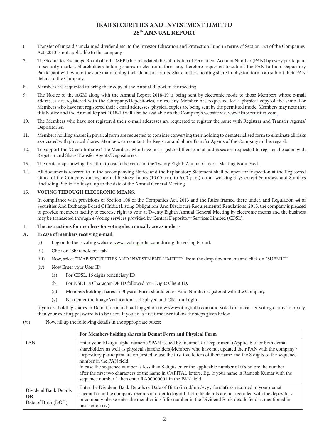- 6. Transfer of unpaid / unclaimed dividend etc. to the Investor Education and Protection Fund in terms of Section 124 of the Companies Act, 2013 is not applicable to the company.
- 7. The Securities Exchange Board of India (SEBI) has mandated the submission of Permanent Account Number (PAN) by every participant in security market. Shareholders holding shares in electronic form are, therefore requested to submit the PAN to their Depository Participant with whom they are maintaining their demat accounts. Shareholders holding share in physical form can submit their PAN details to the Company.
- 8. Members are requested to bring their copy of the Annual Report to the meeting.
- 9. The Notice of the AGM along with the Annual Report 2018-19 is being sent by electronic mode to those Members whose e-mail addresses are registered with the Company/Depositories, unless any Member has requested for a physical copy of the same. For Members who have not registered their e-mail addresses, physical copies are being sent by the permitted mode. Members may note that this Notice and the Annual Report 2018-19 will also be available on the Company's website viz. www.ikabsecurities.com.
- 10. The Members who have not registered their e-mail addresses are requested to register the same with Registrar and Transfer Agents/ Depositories.
- 11. Members holding shares in physical form are requested to consider converting their holding to dematerialised form to eliminate all risks associated with physical shares. Members can contact the Registrar and Share Transfer Agents of the Company in this regard.
- 12. To support the 'Green Initiative' the Members who have not registered their e-mail addresses are requested to register the same with Registrar and Share Transfer Agents/Depositories.
- 13. The route map showing direction to reach the venue of the Twenty Eighth Annual General Meeting is annexed.
- 14. All documents referred to in the accompanying Notice and the Explanatory Statement shall be open for inspection at the Registered Office of the Company during normal business hours (10.00 a.m. to 6.00 p.m.) on all working days except Saturdays and Sundays (including Public Holidays) up to the date of the Annual General Meeting.

#### 15. **VOTING THROUGH ELECTRONIC MEANS:**

In compliance with provisions of Section 108 of the Companies Act, 2013 and the Rules framed there under, and Regulation 44 of Securities And Exchange Board Of India (Listing Obligations And Disclosure Requirements) Regulations, 2015, the company is pleased to provide members facility to exercise right to vote at Twenty Eighth Annual General Meeting by electronic means and the business may be transacted through e-Voting services provided by Central Depository Services Limited (CDSL).

1. **The instructions for members for voting electronically are as under:-**

#### **A. In case of members receiving e-mail:**

- (i) Log on to the e-voting website www.evotingindia.com during the voting Period.
- (ii) Click on "Shareholders" tab.
- (iii) Now, select "IKAB SECURITIES AND INVESTMENT LIMITED" from the drop down menu and click on "SUBMIT"
- (iv) Now Enter your User ID
	- (a) For CDSL: 16 digits beneficiary ID
	- (b) For NSDL: 8 Character DP ID followed by 8 Digits Client ID,
	- (c) Members holding shares in Physical Form should enter Folio Number registered with the Company.
	- (v) Next enter the Image Verification as displayed and Click on Login.

If you are holding shares in Demat form and had logged on to www.evotingindia.com and voted on an earlier voting of any company, then your existing password is to be used. If you are a first time user follow the steps given below.

(vi) Now, fill up the following details in the appropriate boxes:

|                                                           | For Members holding shares in Demat Form and Physical Form                                                                                                                                                                                                                                                                                                                                                                                                                                                                                                                                                                                     |
|-----------------------------------------------------------|------------------------------------------------------------------------------------------------------------------------------------------------------------------------------------------------------------------------------------------------------------------------------------------------------------------------------------------------------------------------------------------------------------------------------------------------------------------------------------------------------------------------------------------------------------------------------------------------------------------------------------------------|
| PAN                                                       | Enter your 10 digit alpha-numeric *PAN issued by Income Tax Department (Applicable for both demat<br>shareholders as well as physical shareholders)Members who have not updated their PAN with the company /<br>Depository participant are requested to use the first two letters of their name and the 8 digits of the sequence<br>number in the PAN field<br>In case the sequence number is less than 8 digits enter the applicable number of 0's before the number<br>after the first two characters of the name in CAPITAL letters. Eg. If your name is Ramesh Kumar with the<br>sequence number 1 then enter RA00000001 in the PAN field. |
| Dividend Bank Details<br><b>OR</b><br>Date of Birth (DOB) | Enter the Dividend Bank Details or Date of Birth (in dd/mm/yyyy format) as recorded in your demat<br>account or in the company records in order to login. If both the details are not recorded with the depository<br>or company please enter the member id / folio number in the Dividend Bank details field as mentioned in<br>instruction (iv).                                                                                                                                                                                                                                                                                             |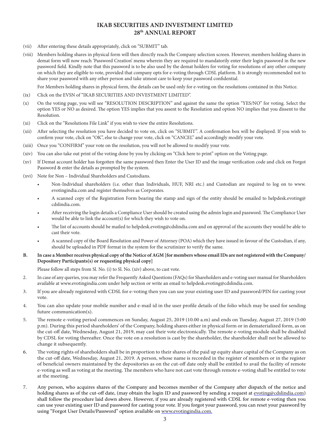- (vii) After entering these details appropriately, click on "SUBMIT" tab.
- (viii) Members holding shares in physical form will then directly reach the Company selection screen. However, members holding shares in demat form will now reach 'Password Creation' menu wherein they are required to mandatorily enter their login password in the new password field. Kindly note that this password is to be also used by the demat holders for voting for resolutions of any other company on which they are eligible to vote, provided that company opts for e-voting through CDSL platform. It is strongly recommended not to share your password with any other person and take utmost care to keep your password confidential.

For Members holding shares in physical form, the details can be used only for e-voting on the resolutions contained in this Notice.

- (ix) Click on the EVSN of "IKAB SECURITIES AND INVESTMENT LIMITED".
- (x) On the voting page, you will see "RESOLUTION DESCRIPTION" and against the same the option "YES/NO" for voting. Select the option YES or NO as desired. The option YES implies that you assent to the Resolution and option NO implies that you dissent to the Resolution.
- (xi) Click on the "Resolutions File Link" if you wish to view the entire Resolutions.
- (xii) After selecting the resolution you have decided to vote on, click on "SUBMIT". A confirmation box will be displayed. If you wish to confirm your vote, click on "OK", else to change your vote, click on "CANCEL" and accordingly modify your vote.
- (xiii) Once you "CONFIRM" your vote on the resolution, you will not be allowed to modify your vote.
- (xiv) You can also take out print of the voting done by you by clicking on "Click here to print" option on the Voting page.
- (xv) If Demat account holder has forgotten the same password then Enter the User ID and the image verification code and click on Forgot Password & enter the details as prompted by the system.
- (xvi) Note for Non Individual Shareholders and Custodians.
	- Non-Individual shareholders (i.e. other than Individuals, HUF, NRI etc.) and Custodian are required to log on to www. evotingindia.com and register themselves as Corporates.
	- A scanned copy of the Registration Form bearing the stamp and sign of the entity should be emailed to helpdesk.evoting@ cdslindia.com.
	- After receiving the login details a Compliance User should be created using the admin login and password. The Compliance User would be able to link the account(s) for which they wish to vote on.
	- The list of accounts should be mailed to helpdesk.evoting@cdslindia.com and on approval of the accounts they would be able to cast their vote.
	- A scanned copy of the Board Resolution and Power of Attorney (POA) which they have issued in favour of the Custodian, if any, should be uploaded in PDF format in the system for the scrutinizer to verify the same.
- **B. In case a Member receives physical copy of the Notice of AGM [for members whose email IDs are not registered with the Company/ Depository Participants(s) or requesting physical copy]**

Please follow all steps from Sl. No. (i) to Sl. No. (xiv) above, to cast vote.

- 2. In case of any queries, you may refer the Frequently Asked Questions (FAQs) for Shareholders and e-voting user manual for Shareholders available at www.evotingindia.com under help section or write an email to helpdesk.evoting@cdslindia.com.
- 3. If you are already registered with CDSL for e-voting then you can use your existing user ID and password/PIN for casting your vote.
- 4. You can also update your mobile number and e-mail id in the user profile details of the folio which may be used for sending future communication(s).
- 5. The remote e-voting period commences on Sunday, August 25, 2019 (10.00 a.m) and ends on Tuesday, August 27, 2019 (5:00 p.m). During this period shareholders' of the Company, holding shares either in physical form or in dematerialized form, as on the cut-off date, Wednesday, August 21, 2019, may cast their vote electronically. The remote e-voting module shall be disabled by CDSL for voting thereafter. Once the vote on a resolution is cast by the shareholder, the shareholder shall not be allowed to change it subsequently.
- 6. The voting rights of shareholders shall be in proportion to their shares of the paid up equity share capital of the Company as on the cut-off date, Wednesday, August 21, 2019. A person, whose name is recorded in the register of members or in the register of beneficial owners maintained by the depositories as on the cut-off date only shall be entitled to avail the facility of remote e-voting as well as voting at the meeting. The members who have not cast vote through remote e-voting shall be entitled to vote at the meeting.
- 7. Any person, who acquires shares of the Company and becomes member of the Company after dispatch of the notice and holding shares as of the cut-off date, (may obtain the login ID and password by sending a request at evoting@cdslindia.com) shall follow the procedure laid down above. However, if you are already registered with CDSL for remote e-voting then you can use your existing user ID and password for casting your vote. If you forgot your password, you can reset your password by using "Forgot User Details/Password" option available on www.evotingindia.com.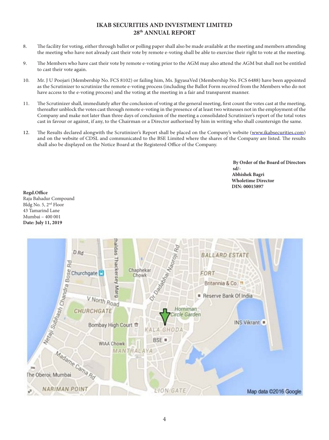- 8. The facility for voting, either through ballot or polling paper shall also be made available at the meeting and members attending the meeting who have not already cast their vote by remote e-voting shall be able to exercise their right to vote at the meeting.
- 9. The Members who have cast their vote by remote e-voting prior to the AGM may also attend the AGM but shall not be entitled to cast their vote again.
- 10. Mr. J U Poojari (Membership No. FCS 8102) or failing him, Ms. JigyasaVed (Membership No. FCS 6488) have been appointed as the Scrutinizer to scrutinize the remote e-voting process (including the Ballot Form received from the Members who do not have access to the e-voting process) and the voting at the meeting in a fair and transparent manner.
- 11. The Scrutinizer shall, immediately after the conclusion of voting at the general meeting, first count the votes cast at the meeting, thereafter unblock the votes cast through remote e-voting in the presence of at least two witnesses not in the employment of the Company and make not later than three days of conclusion of the meeting a consolidated Scrutinizer's report of the total votes cast in favour or against, if any, to the Chairman or a Director authorised by him in writing who shall countersign the same.
- 12. The Results declared alongwith the Scrutinizer's Report shall be placed on the Company's website (www.ikabsecurities.com) and on the website of CDSL and communicated to the BSE Limited where the shares of the Company are listed. The results shall also be displayed on the Notice Board at the Registered Office of the Company.

 **By Order of the Board of Directors sd/- Abhishek Bagri Wholetime Director DIN: 00015897**

**Regd.Office** Raja Bahadur Compound Bldg No. 5, 2nd Floor 43 Tamarind Lane Mumbai – 400 001 **Date: July 11, 2019**

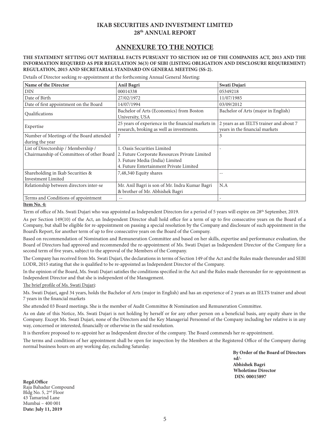# **ANNEXURE TO THE NOTICE**

#### **THE STATEMENT SETTING OUT MATERIAL FACTS PURSUANT TO SECTION 102 OF THE COMPANIES ACT, 2013 AND THE INFORMATION REQUIRED AS PER REGULATION 36(3) OF SEBI (LISTING OBLIGATION AND DISCLOSURE REQUIREMENT) REGULATION, 2015 AND SECRETARIAL STANDARD ON GENERAL MEETING (SS-2).**

Details of Director seeking re-appointment at the forthcoming Annual General Meeting:

| Name of the Director                                           | Anil Bagri                                                                                      | Swati Dujari                                                              |
|----------------------------------------------------------------|-------------------------------------------------------------------------------------------------|---------------------------------------------------------------------------|
| <b>DIN</b>                                                     | 00014338                                                                                        | 05349218                                                                  |
| Date of Birth                                                  | 27/02/1972                                                                                      | 11/07/1985                                                                |
| Date of first appointment on the Board                         | 14/07/1994                                                                                      | 03/09/2012                                                                |
| Qualifications                                                 | Bachelor of Arts (Economics) from Boston<br>University, USA                                     | Bachelor of Arts (major in English)                                       |
| Expertise                                                      | 25 years of experience in the financial markets in<br>research, broking as well as investments. | 2 years as an IELTS trainer and about 7<br>years in the financial markets |
| Number of Meetings of the Board attended                       | 7                                                                                               | 3                                                                         |
| during the year                                                |                                                                                                 |                                                                           |
| List of Directorship / Membership /                            | 1. Oasis Securities Limited                                                                     |                                                                           |
| Chairmanship of Committees of other Board                      | 2. Future Corporate Resources Private Limited                                                   |                                                                           |
|                                                                | 3. Future Media (India) Limited                                                                 |                                                                           |
|                                                                | 4. Future Entertainment Private Limited                                                         |                                                                           |
| Shareholding in Ikab Securities &<br><b>Investment Limited</b> | 7,48,340 Equity shares                                                                          | $- -$                                                                     |
| Relationship between directors inter-se                        | Mr. Anil Bagri is son of Mr. Indra Kumar Bagri                                                  | N.A                                                                       |
|                                                                | & brother of Mr. Abhishek Bagri                                                                 |                                                                           |
| Terms and Conditions of appointment                            | $-1$                                                                                            |                                                                           |

#### **Item No. 4:**

Term of office of Ms. Swati Dujari who was appointed as Independent Directors for a period of 5 years will expire on 28th September, 2019.

As per Section 149(10) of the Act, an Independent Director shall hold office for a term of up to five consecutive years on the Board of a Company, but shall be eligible for re-appointment on passing a special resolution by the Company and disclosure of such appointment in the Board's Report, for another term of up to five consecutive years on the Board of the Company.

Based on recommendation of Nomination and Remuneration Committee and based on her skills, expertise and performance evaluation, the Board of Directors had approved and recommended the re-appointment of Ms. Swati Dujari as Independent Director of the Company for a second term of five years, subject to the approval of the Members of the Company.

The Company has received from Ms. Swati Dujari, the declarations in terms of Section 149 of the Act and the Rules made thereunder and SEBI LODR, 2015 stating that she is qualified to be re-appointed as Independent Director of the Company.

In the opinion of the Board, Ms. Swati Dujari satisfies the conditions specified in the Act and the Rules made thereunder for re-appointment as Independent Director and that she is independent of the Management.

#### The brief profile of Ms. Swati Dujari:

Ms. Swati Dujari, aged 34 years, holds the Bachelor of Arts (major in English) and has an experience of 2 years as an IELTS trainer and about 7 years in the financial markets

She attended 03 Board meetings. She is the member of Audit Committee & Nomination and Remuneration Committee.

As on date of this Notice, Ms. Swati Dujari is not holding by herself or for any other person on a beneficial basis, any equity share in the Company. Except Ms. Swati Dujari, none of the Directors and the Key Managerial Personnel of the Company including her relative is in any way, concerned or interested, financially or otherwise in the said resolution.

It is therefore proposed to re-appoint her as Independent director of the company. The Board commends her re-appointment.

The terms and conditions of her appointment shall be open for inspection by the Members at the Registered Office of the Company during normal business hours on any working day, excluding Saturday.

 **By Order of the Board of Directors sd/- Abhishek Bagri Wholetime Director DIN: 00015897**

**Regd.Office** Raja Bahadur Compound Bldg No. 5, 2nd Floor 43 Tamarind Lane Mumbai – 400 001 **Date: July 11, 2019**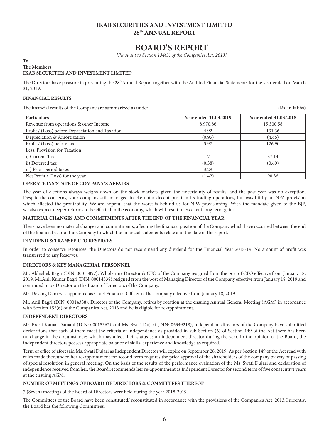# **BOARD'S REPORT**

*[Pursuant to Section 134(3) of the Companies Act, 2013]*

#### **To, The Members IKAB SECURITIES AND INVESTMENT LIMITED**

The Directors have pleasure in presenting the 28<sup>th</sup>Annual Report together with the Audited Financial Statements for the year ended on March 31, 2019.

#### **FINANCIAL RESULTS**

The financial results of the Company are summarized as under: **(Rs. in lakhs)**

| Particulars                                      | Year ended 31.03.2019 | Year ended 31.03.2018 |
|--------------------------------------------------|-----------------------|-----------------------|
| Revenue from operations & other Income           | 8,970.86              | 15,300.58             |
| Profit / (Loss) before Depreciation and Taxation | 4.92                  | 131.36                |
| Depreciation & Amortization                      | (0.95)                | (4.46)                |
| Profit / (Loss) before tax                       | 3.97                  | 126.90                |
| Less: Provision for Taxation                     |                       |                       |
| i) Current Tax                                   | 1.71                  | 37.14                 |
| ii) Deferred tax                                 | (0.38)                | (0.60)                |
| iii) Prior period taxes                          | 3.29                  |                       |
| Net Profit / (Loss) for the year                 | (1.42)                | 90.36                 |

#### **OPERATIONS/STATE OF COMPANY'S AFFAIRS**

The year of elections always weighs down on the stock markets, given the uncertainty of results, and the past year was no exception. Despite the concerns, your company still managed to eke out a decent profit in its trading operations, but was hit by an NPA provision which affected the profitability. We are hopeful that the worst is behind us for NPA provisioning. With the mandate given to the BJP, we also expect deeper reforms to be effected in the economy, which will result in excellent long term gains.

#### **MATERIAL CHANGES AND COMMITMENTS AFTER THE END OF THE FINANCIAL YEAR**

There have been no material changes and commitments, affecting the financial position of the Company which have occurred between the end of the financial year of the Company to which the financial statements relate and the date of the report.

#### **DIVIDEND & TRANSFER TO RESERVES**

In order to conserve resources, the Directors do not recommend any dividend for the Financial Year 2018-19. No amount of profit was transferred to any Reserves.

#### **DIRECTORS & KEY MANAGERIAL PERSONNEL**

Mr. Abhishek Bagri (DIN: 00015897), Wholetime Director & CFO of the Company resigned from the post of CFO effective from January 18, 2019. Mr.Anil Kumar Bagri (DIN: 00014338) resigned from the post of Managing Director of the Company effective from January 18, 2019 and continued to be Director on the Board of Directors of the Company.

Mr. Devang Dani was appointed as Chief Financial Officer of the company effective from January 18, 2019.

Mr. Anil Bagri (DIN: 00014338), Director of the Company, retires by rotation at the ensuing Annual General Meeting (AGM) in accordance with Section 152(6) of the Companies Act, 2013 and he is eligible for re-appointment.

#### **INDEPENDENT DIRECTORS**

Mr. Prerit Kamal Damani (DIN: 00015362) and Ms. Swati Dujari (DIN: 05349218), independent directors of the Company have submitted declarations that each of them meet the criteria of independence as provided in sub Section (6) of Section 149 of the Act there has been no change in the circumstances which may affect their status as an independent director during the year. In the opinion of the Board, the independent directors possess appropriate balance of skills, experience and knowledge as required.

Term of office of aforesaid Ms. Swati Dujari as Independent Director will expire on September 28, 2019. As per Section 149 of the Act read with rules made thereunder, her re-appointment for second term requires the prior approval of the shareholders of the company by way of passing of special resolution in general meeting. On the basis of the results of the performance evaluation of the Ms. Swati Dujari and declaration of independence received from her, the Board recommends her re-appointment as Independent Director for second term of five consecutive years at the ensuing AGM.

#### **NUMBER OF MEETINGS OF BOARD OF DIRECTORS & COMMITTEES THEREOF**

7 (Seven) meetings of the Board of Directors were held during the year 2018-2019.

The Committees of the Board have been constituted/ reconstituted in accordance with the provisions of the Companies Act, 2013.Currently, the Board has the following Committees: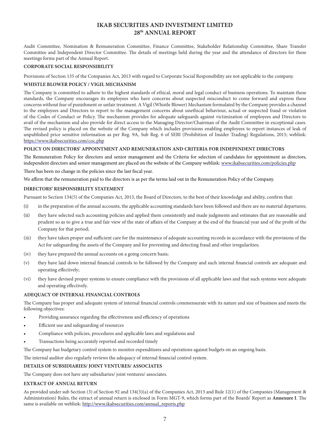Audit Committee, Nomination & Remuneration Committee, Finance Committee, Stakeholder Relationship Committee, Share Transfer Committee and Independent Director Committee. The details of meetings held during the year and the attendance of directors for these meetings forms part of the Annual Report.

#### **CORPORATE SOCIAL RESPONSIBILITY**

Provisions of Section 135 of the Companies Act, 2013 with regard to Corporate Social Responsibility are not applicable to the company.

#### **WHISTLE BLOWER POLICY / VIGIL MECHANISM**

The Company is committed to adhere to the highest standards of ethical, moral and legal conduct of business operations. To maintain these standards, the Company encourages its employees who have concerns about suspected misconduct to come forward and express these concerns without fear of punishment or unfair treatment. A Vigil (Whistle Blower) Mechanism formulated by the Company provides a channel to the employees and Directors to report to the management concerns about unethical behaviour, actual or suspected fraud or violation of the Codes of Conduct or Policy. The mechanism provides for adequate safeguards against victimization of employees and Directors to avail of the mechanism and also provide for direct access to the Managing Director/Chairman of the Audit Committee in exceptional cases. The revised policy is placed on the website of the Company which includes provisions enabling employees to report instances of leak of unpublished price sensitive information as per Reg. 9A, Sub Reg. 6 of SEBI (Prohibition of Insider Trading) Regulations, 2015; weblink: https://www.ikabsecurities.com/coc.php

#### **POLICY ON DIRECTORS' APPOINTMENT AND REMUNERATION AND CRITERIA FOR INDEPENDENT DIRECTORS**

The Remuneration Policy for directors and senior management and the Criteria for selection of candidates for appointment as directors, independent directors and senior management are placed on the website of the Company weblink: www.ikabsecurities.com/policies.php

There has been no change in the policies since the last fiscal year.

We affirm that the remuneration paid to the directors is as per the terms laid out in the Remuneration Policy of the Company.

#### **DIRECTORS' RESPONSIBILITY STATEMENT**

Pursuant to Section 134(5) of the Companies Act, 2013, the Board of Directors, to the best of their knowledge and ability, confirm that:

- (i) in the preparation of the annual accounts, the applicable accounting standards have been followed and there are no material departures;
- (ii) they have selected such accounting policies and applied them consistently and made judgments and estimates that are reasonable and prudent so as to give a true and fair view of the state of affairs of the Company at the end of the financial year and of the profit of the Company for that period;
- (iii) they have taken proper and sufficient care for the maintenance of adequate accounting records in accordance with the provisions of the Act for safeguarding the assets of the Company and for preventing and detecting fraud and other irregularities;
- (iv) they have prepared the annual accounts on a going concern basis;
- (v) they have laid down internal financial controls to be followed by the Company and such internal financial controls are adequate and operating effectively;
- (vi) they have devised proper systems to ensure compliance with the provisions of all applicable laws and that such systems were adequate and operating effectively.

#### **ADEQUACY OF INTERNAL FINANCIAL CONTROLS**

The Company has proper and adequate system of internal financial controls commensurate with its nature and size of business and meets the following objectives:

- Providing assurance regarding the effectiveness and efficiency of operations
- Efficient use and safeguarding of resources
- Compliance with policies, procedures and applicable laws and regulations and
- Transactions being accurately reported and recorded timely

The Company has budgetary control system to monitor expenditures and operations against budgets on an ongoing basis.

The internal auditor also regularly reviews the adequacy of internal financial control system.

#### **DETAILS OF SUBSIDIARIES/ JOINT VENTURES/ ASSOCIATES**

The Company does not have any subsidiaries/ joint ventures/ associates.

#### **EXTRACT OF ANNUAL RETURN**

As provided under sub Section (3) of Section 92 and 134(3)(a) of the Companies Act, 2013 and Rule 12(1) of the Companies (Management & Administration) Rules, the extract of annual return is enclosed in Form MGT-9, which forms part of the Boards' Report as **Annexure I**. The same is available on weblink: http://www.ikabsecurities.com/annual\_reports.php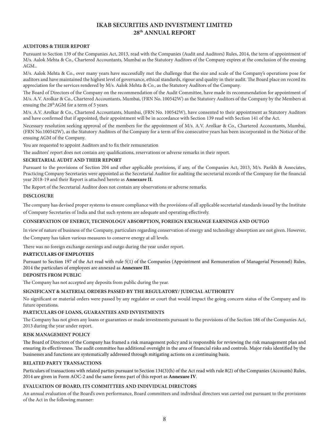#### **AUDITORS & THEIR REPORT**

Pursuant to Section 139 of the Companies Act, 2013, read with the Companies (Audit and Auditors) Rules, 2014, the term of appointment of M/s. Aalok Mehta & Co., Chartered Accountants, Mumbai as the Statutory Auditors of the Company expires at the conclusion of the ensuing AGM..

M/s. Aalok Mehta & Co., over many years have successfully met the challenge that the size and scale of the Company's operations pose for auditors and have maintained the highest level of governance, ethical standards, rigour and quality in their audit. The Board place on record its appreciation for the services rendered by M/s. Aalok Mehta & Co., as the Statutory Auditors of the Company.

The Board of Directors of the Company on the recommendation of the Audit Committee, have made its recommendation for appointment of M/s. A.V. Arolkar & Co., Chartered Accountants, Mumbai, (FRN No. 100542W) as the Statutory Auditors of the Company by the Members at ensuing the 28<sup>th</sup>AGM for a term of 5 years.

M/s. A.V. Arolkar & Co., Chartered Accountants, Mumbai, (FRN No. 100542W), have consented to their appointment as Statutory Auditors and have confirmed that if appointed, their appointment will be in accordance with Section 139 read with Section 141 of the Act.

Necessary resolution seeking approval of the members for the appointment of M/s. A.V. Arolkar & Co., Chartered Accountants, Mumbai, (FRN No.100542W), as the Statutory Auditors of the Company for a term of five consecutive years has been incorporated in the Notice of the ensuing AGM of the Company.

You are requested to appoint Auditors and to fix their remuneration

The auditors' report does not contain any qualifications, reservations or adverse remarks in their report.

#### **SECRETARIAL AUDIT AND THEIR REPORT**

Pursuant to the provisions of Section 204 and other applicable provisions, if any, of the Companies Act, 2013, M/s. Parikh & Associates, Practicing Company Secretaries were appointed as the Secretarial Auditor for auditing the secretarial records of the Company for the financial year 2018-19 and their Report is attached hereto as **Annexure II.**

The Report of the Secretarial Auditor does not contain any observations or adverse remarks.

#### **DISCLOSURE**

The company has devised proper systems to ensure compliance with the provisions of all applicable secretarial standards issued by the Institute of Company Secretaries of India and that such systems are adequate and operating effectively.

#### **CONSERVATION OF ENERGY, TECHNOLOGY ABSORPTION, FOREIGN EXCHANGE EARNINGS AND OUTGO**

In view of nature of business of the Company, particulars regarding conservation of energy and technology absorption are not given. However, the Company has taken various measures to conserve energy at all levels.

There was no foreign exchange earnings and outgo during the year under report.

#### **PARTICULARS OF EMPLOYEES**

Pursuant to Section 197 of the Act read with rule 5(1) of the Companies (Appointment and Remuneration of Managerial Personnel) Rules, 2014 the particulars of employees are annexed as **Annexure III**.

#### **DEPOSITS FROM PUBLIC**

The Company has not accepted any deposits from public during the year.

#### **SIGNIFICANT & MATERIAL ORDERS PASSED BY THE REGULATORY/ JUDICIAL AUTHORITY**

No significant or material orders were passed by any regulator or court that would impact the going concern status of the Company and its future operations.

#### **PARTICULARS OF LOANS, GUARANTEES AND INVESTMENTS**

The Company has not given any loans or guarantees or made investments pursuant to the provisions of the Section 186 of the Companies Act, 2013 during the year under report.

#### **RISK MANAGEMENT POLICY**

The Board of Directors of the Company has framed a risk management policy and is responsible for reviewing the risk management plan and ensuring its effectiveness. The audit committee has additional oversight in the area of financial risks and controls. Major risks identified by the businesses and functions are systematically addressed through mitigating actions on a continuing basis.

#### **RELATED PARTY TRANSACTIONS**

Particulars of transactions with related parties pursuant to Section 134(3)(h) of the Act read with rule 8(2) of the Companies (Accounts) Rules, 2014 are given in Form AOC-2 and the same forms part of this report as **Annexure IV**.

#### **EVALUATION OF BOARD, ITS COMMITTEES AND INDIVIDUAL DIRECTORS**

An annual evaluation of the Board's own performance, Board committees and individual directors was carried out pursuant to the provisions of the Act in the following manner: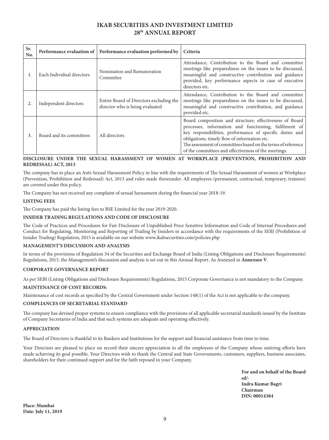| Sr.<br>No. |                           | Performance evaluation of Performance evaluation performed by              | Criteria                                                                                                                                                                                                                                                                                                                                             |
|------------|---------------------------|----------------------------------------------------------------------------|------------------------------------------------------------------------------------------------------------------------------------------------------------------------------------------------------------------------------------------------------------------------------------------------------------------------------------------------------|
|            | Each Individual directors | Nomination and Remuneration<br>Committee                                   | Attendance, Contribution to the Board and committee<br>meetings like preparedness on the issues to be discussed,<br>meaningful and constructive contribution and guidance<br>provided, key performance aspects in case of executive<br>directors etc.                                                                                                |
| 2.         | Independent directors     | Entire Board of Directors excluding the<br>director who is being evaluated | Attendance, Contribution to the Board and committee<br>meetings like preparedness on the issues to be discussed,<br>meaningful and constructive contribution, and guidance<br>provided etc.                                                                                                                                                          |
| 3.         | Board and its committees  | All directors                                                              | Board composition and structure; effectiveness of Board<br>processes, information and functioning, fulfilment of<br>key responsibilities, performance of specific duties and<br>obligations, timely flow of information etc.<br>The assessment of committees based on the terms of reference<br>of the committees and effectiveness of the meetings. |

#### **DISCLOSURE UNDER THE SEXUAL HARASSMENT OF WOMEN AT WORKPLACE (PREVENTION, PROHIBITION AND REDRESSAL) ACT, 2013**

The company has in place an Anti-Sexual Harassment Policy in line with the requirements of The Sexual Harassment of women at Workplace (Prevention, Prohibition and Redressal) Act, 2013 and rules made thereunder. All employees (permanent, contractual, temporary, trainees) are covered under this policy.

The Company has not received any complaint of sexual harassment during the financial year 2018-19.

#### **LISTING FEES**

The Company has paid the listing fees to BSE Limited for the year 2019-2020.

#### **INSIDER TRADING REGULATIONS AND CODE OF DISCLOSURE**

The Code of Practices and Procedures for Fair Disclosure of Unpublished Price Sensitive Information and Code of Internal Procedures and Conduct for Regulating, Monitoring and Reporting of Trading by Insiders in accordance with the requirements of the SEBI (Prohibition of Insider Trading) Regulation, 2015 is available on our website www.ikabsecurities.com/policies.php

#### **MANAGEMENT'S DISCUSSION AND ANALYSIS**

In terms of the provisions of Regulation 34 of the Securities and Exchange Board of India (Listing Obligations and Disclosure Requirements) Regulations, 2015, the Management's discussion and analysis is set out in this Annual Report. As Annexed in **Annexure V**.

#### **CORPORATE GOVERNANCE REPORT**

As per SEBI (Listing Obligations and Disclosure Requirements) Regulations, 2015 Corporate Governance is not mandatory to the Company.

#### **MAINTENANCE OF COST RECORDS:**

Maintenance of cost records as specified by the Central Government under Section 148(1) of the Act is not applicable to the company.

#### **COMPLIANCES OF SECRETARIAL STANDARD**

The company has devised proper systems to ensure compliance with the provisions of all applicable secretarial standards issued by the Institute of Company Secretaries of India and that such systems are adequate and operating effectively.

#### **APPRECIATION**

The Board of Directors is thankful to its Bankers and Institutions for the support and financial assistance from time to time.

Your Directors are pleased to place on record their sincere appreciation to all the employees of the Company whose untiring efforts have made achieving its goal possible. Your Directors wish to thank the Central and State Governments, customers, suppliers, business associates, shareholders for their continued support and for the faith reposed in your Company.

> **For and on behalf of the Board sd/- Indra Kumar Bagri Chairman DIN: 00014384**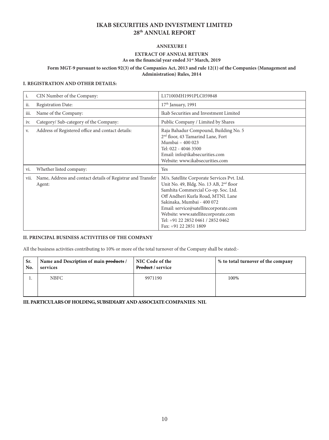#### **ANNEXURE I**

### **EXTRACT OF ANNUAL RETURN As on the financial year ended 31st March, 2019**

#### **Form MGT-9 pursuant to section 92(3) of the Companies Act, 2013 and rule 12(1) of the Companies (Management and Administration) Rules, 2014**

#### **I. REGISTRATION AND OTHER DETAILS:**

| i.   | CIN Number of the Company:                                            | L17100MH1991PLC059848                                                                                                                                                                                                                                                                                                                                      |
|------|-----------------------------------------------------------------------|------------------------------------------------------------------------------------------------------------------------------------------------------------------------------------------------------------------------------------------------------------------------------------------------------------------------------------------------------------|
| ii.  | Registration Date:                                                    | $17th$ January, 1991                                                                                                                                                                                                                                                                                                                                       |
| iii. | Name of the Company:                                                  | Ikab Securities and Investment Limited                                                                                                                                                                                                                                                                                                                     |
| iv.  | Category/ Sub-category of the Company:                                | Public Company / Limited by Shares                                                                                                                                                                                                                                                                                                                         |
| V.   | Address of Registered office and contact details:                     | Raja Bahadur Compound, Building No. 5<br>2 <sup>nd</sup> floor, 43 Tamarind Lane, Fort<br>Mumbai - 400 023<br>Tel: 022 - 4046 3500<br>Email: info@ikabsecurities.com<br>Website: www.ikabsecurities.com                                                                                                                                                    |
| vi.  | Whether listed company:                                               | Yes                                                                                                                                                                                                                                                                                                                                                        |
| vii. | Name, Address and contact details of Registrar and Transfer<br>Agent: | M/s. Satellite Corporate Services Pvt. Ltd.<br>Unit No. 49, Bldg. No. 13 AB, 2 <sup>nd</sup> floor<br>Samhita Commercial Co-op. Soc. Ltd.<br>Off Andheri Kurla Road, MTNL Lane<br>Sakinaka, Mumbai - 400 072<br>Email: service@satellitecorporate.com<br>Website: www.satellitecorporate.com<br>Tel: +91 22 2852 0461 / 2852 0462<br>Fax: +91 22 2851 1809 |

#### **II. PRINCIPAL BUSINESS ACTIVITIES OF THE COMPANY**

All the business activities contributing to 10% or more of the total turnover of the Company shall be stated:-

| Sr.<br>No. | Name and Description of main products /<br>services | NIC Code of the<br>Product / service | % to total turnover of the company |
|------------|-----------------------------------------------------|--------------------------------------|------------------------------------|
|            | <b>NBFC</b>                                         | 9971190                              | 100%                               |
|            |                                                     |                                      |                                    |

**III. PARTICULARS OF HOLDING, SUBSIDIARY AND ASSOCIATE COMPANIES**: **NIL**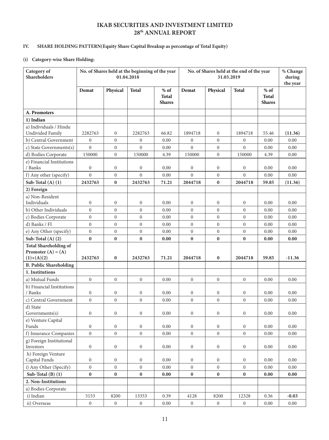# **IV. SHARE HOLDING PATTERN(Equity Share Capital Breakup as percentage of Total Equity)**

#### **(i) Category-wise Share Holding:**

| Category of<br><b>Shareholders</b>                                   | No. of Shares held at the beginning of the year<br>01.04.2018 |                  |                  | No. of Shares held at the end of the year<br>31.03.2019 |                  |                  |                  | % Change<br>during<br>the year   |          |
|----------------------------------------------------------------------|---------------------------------------------------------------|------------------|------------------|---------------------------------------------------------|------------------|------------------|------------------|----------------------------------|----------|
|                                                                      | Demat                                                         | Physical         | Total            | $%$ of<br>Total<br><b>Shares</b>                        | Demat            | Physical         | Total            | $%$ of<br>Total<br><b>Shares</b> |          |
| A. Promoters                                                         |                                                               |                  |                  |                                                         |                  |                  |                  |                                  |          |
| 1) Indian                                                            |                                                               |                  |                  |                                                         |                  |                  |                  |                                  |          |
| a) Individuals / Hindu                                               |                                                               |                  |                  |                                                         |                  |                  |                  |                                  |          |
| Undivided Family                                                     | 2282763                                                       | $\boldsymbol{0}$ | 2282763          | 66.82                                                   | 1894718          | $\boldsymbol{0}$ | 1894718          | 55.46                            | (11.36)  |
| b) Central Government                                                | $\boldsymbol{0}$                                              | $\boldsymbol{0}$ | 0                | 0.00                                                    | $\boldsymbol{0}$ | $\boldsymbol{0}$ | $\boldsymbol{0}$ | 0.00                             | 0.00     |
| c) State Governments(s)                                              | $\mathbf{0}$                                                  | $\boldsymbol{0}$ | $\overline{0}$   | 0.00                                                    | $\mathbf{0}$     | $\mathbf{0}$     | $\mathbf{0}$     | 0.00                             | 0.00     |
| d) Bodies Corporate                                                  | 150000                                                        | $\boldsymbol{0}$ | 150000           | 4.39                                                    | 150000           | $\mathbf{0}$     | 150000           | 4.39                             | 0.00     |
| e) Financial Institutions                                            |                                                               |                  |                  |                                                         |                  |                  |                  |                                  |          |
| / Banks                                                              | $\boldsymbol{0}$                                              | $\boldsymbol{0}$ | $\boldsymbol{0}$ | 0.00                                                    | $\boldsymbol{0}$ | $\boldsymbol{0}$ | $\boldsymbol{0}$ | 0.00                             | 0.00     |
| f) Any other (specify)                                               | $\theta$                                                      | $\boldsymbol{0}$ | $\overline{0}$   | 0.00                                                    | $\theta$         | $\mathbf{0}$     | $\mathbf{0}$     | 0.00                             | 0.00     |
| Sub-Total $(A)$ $(1)$                                                | 2432763                                                       | $\bf{0}$         | 2432763          | 71.21                                                   | 2044718          | $\bf{0}$         | 2044718          | 59.85                            | (11.36)  |
| 2) Foreign                                                           |                                                               |                  |                  |                                                         |                  |                  |                  |                                  |          |
| a) Non-Resident                                                      |                                                               |                  |                  |                                                         |                  |                  |                  |                                  |          |
| Individuals                                                          | $\boldsymbol{0}$                                              | $\boldsymbol{0}$ | $\boldsymbol{0}$ | 0.00                                                    | $\mathbf{0}$     | $\boldsymbol{0}$ | $\boldsymbol{0}$ | 0.00                             | 0.00     |
| b) Other Individuals                                                 | $\boldsymbol{0}$                                              | $\boldsymbol{0}$ | $\boldsymbol{0}$ | 0.00                                                    | $\boldsymbol{0}$ | $\mathbf{0}$     | $\boldsymbol{0}$ | 0.00                             | 0.00     |
| c) Bodies Corporate                                                  | $\mathbf{0}$                                                  | $\boldsymbol{0}$ | $\boldsymbol{0}$ | 0.00                                                    | $\boldsymbol{0}$ | $\mathbf{0}$     | $\mathbf{0}$     | 0.00                             | 0.00     |
| d) Banks / FI                                                        | $\mathbf{0}$                                                  | $\boldsymbol{0}$ | $\overline{0}$   | 0.00                                                    | $\mathbf{0}$     | $\mathbf{0}$     | $\mathbf{0}$     | 0.00                             | 0.00     |
| e) Any Other (specify)                                               | $\mathbf{0}$                                                  | $\boldsymbol{0}$ | $\overline{0}$   | 0.00                                                    | $\mathbf{0}$     | $\mathbf{0}$     | $\mathbf{0}$     | 0.00                             | 0.00     |
| Sub-Total $(A)$ $(2)$                                                | $\bf{0}$                                                      | $\bf{0}$         | $\bf{0}$         | 0.00                                                    | $\bf{0}$         | $\bf{0}$         | $\bf{0}$         | 0.00                             | 0.00     |
| <b>Total Shareholding of</b><br>Promoter $(A) = (A)$<br>$(1)+(A)(2)$ | 2432763                                                       | $\bf{0}$         | 2432763          | 71.21                                                   | 2044718          | $\bf{0}$         | 2044718          | 59.85                            | $-11.36$ |
| <b>B. Public Shareholding</b>                                        |                                                               |                  |                  |                                                         |                  |                  |                  |                                  |          |
| 1. Institutions                                                      |                                                               |                  |                  |                                                         |                  |                  |                  |                                  |          |
| a) Mutual Funds                                                      | $\overline{0}$                                                | $\boldsymbol{0}$ | $\boldsymbol{0}$ | 0.00                                                    | $\mathbf{0}$     | $\mathbf{0}$     | $\boldsymbol{0}$ | 0.00                             | 0.00     |
| b) Financial Institutions<br>/ Banks                                 | $\boldsymbol{0}$                                              | $\boldsymbol{0}$ | 0                | 0.00                                                    | $\boldsymbol{0}$ | $\boldsymbol{0}$ | $\boldsymbol{0}$ | 0.00                             | 0.00     |
| c) Central Government                                                | $\mathbf{0}$                                                  | $\boldsymbol{0}$ | $\overline{0}$   | 0.00                                                    | $\mathbf{0}$     | $\mathbf{0}$     | $\mathbf{0}$     | 0.00                             | 0.00     |
| d) State                                                             |                                                               |                  |                  |                                                         |                  |                  |                  |                                  |          |
| Governments(s)                                                       | $\mathbf{0}$                                                  | $\boldsymbol{0}$ | 0                | 0.00                                                    | $\mathbf{0}$     | $\boldsymbol{0}$ | $\boldsymbol{0}$ | 0.00                             | 0.00     |
| e) Venture Capital                                                   |                                                               |                  |                  |                                                         |                  |                  |                  |                                  |          |
| Funds                                                                | $\boldsymbol{0}$                                              | $\boldsymbol{0}$ | 0                | 0.00                                                    | $\boldsymbol{0}$ | $\boldsymbol{0}$ | $\boldsymbol{0}$ | 0.00                             | 0.00     |
| f) Insurance Companies                                               | $\theta$                                                      | $\overline{0}$   | $\overline{0}$   | 0.00                                                    | $\mathbf{0}$     | $\overline{0}$   | $\mathbf{0}$     | 0.00                             | 0.00     |
| g) Foreign Institutional<br>Investors                                | $\boldsymbol{0}$                                              | $\boldsymbol{0}$ | 0                | 0.00                                                    | $\boldsymbol{0}$ | $\mathbf{0}$     | $\boldsymbol{0}$ | 0.00                             | 0.00     |
| h) Foreign Venture                                                   |                                                               |                  |                  |                                                         |                  |                  |                  |                                  |          |
| Capital Funds                                                        | $\boldsymbol{0}$                                              | $\boldsymbol{0}$ | $\boldsymbol{0}$ | 0.00                                                    | $\mathbf{0}$     | $\boldsymbol{0}$ | $\boldsymbol{0}$ | 0.00                             | 0.00     |
| i) Any Other (Specify)                                               | $\boldsymbol{0}$                                              | $\boldsymbol{0}$ | $\overline{0}$   | 0.00                                                    | $\mathbf{0}$     | $\boldsymbol{0}$ | $\boldsymbol{0}$ | 0.00                             | 0.00     |
| Sub-Total $(B)$ $(1)$                                                | $\bf{0}$                                                      | $\pmb{0}$        | $\bf{0}$         | 0.00                                                    | $\bf{0}$         | $\pmb{0}$        | $\pmb{0}$        | 0.00                             | 0.00     |
| 2. Non-Institutions                                                  |                                                               |                  |                  |                                                         |                  |                  |                  |                                  |          |
| a) Bodies Corporate                                                  |                                                               |                  |                  |                                                         |                  |                  |                  |                                  |          |
| i) Indian                                                            | 5153                                                          | 8200             | 13353            | 0.39                                                    | 4128             | 8200             | 12328            | 0.36                             | $-0.03$  |
| ii) Overseas                                                         | $\boldsymbol{0}$                                              | $\boldsymbol{0}$ | $\boldsymbol{0}$ | 0.00                                                    | $\mathbf{0}$     | $\mathbf{0}$     | $\boldsymbol{0}$ | 0.00                             | 0.00     |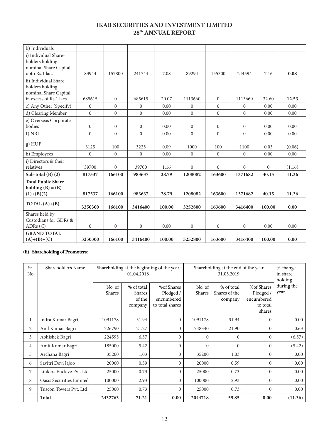| b) Individuals                          |              |                  |                |        |              |              |              |              |        |
|-----------------------------------------|--------------|------------------|----------------|--------|--------------|--------------|--------------|--------------|--------|
| i) Individual Share-                    |              |                  |                |        |              |              |              |              |        |
| holders holding                         |              |                  |                |        |              |              |              |              |        |
| nominal Share Capital                   |              |                  |                |        |              |              |              |              |        |
| upto Rs.1 lacs                          | 83944        | 157800           | 241744         | 7.08   | 89294        | 155300       | 244594       | 7.16         | 0.08   |
| ii) Individual Share<br>holders holding |              |                  |                |        |              |              |              |              |        |
| nominal Share Capital                   |              |                  |                |        |              |              |              |              |        |
| in excess of Rs.1 lacs                  | 685615       | $\mathbf{0}$     | 685615         | 20.07  | 1113660      | $\Omega$     | 1113660      | 32.60        | 12.53  |
| c) Any Other (Specify)                  | $\mathbf{0}$ | $\mathbf{0}$     | $\Omega$       | 0.00   | $\mathbf{0}$ | $\Omega$     | $\mathbf{0}$ | 0.00         | 0.00   |
| d) Clearing Member                      | $\mathbf{0}$ | $\mathbf{0}$     | $\overline{0}$ | 0.00   | $\mathbf{0}$ | $\mathbf{0}$ | $\mathbf{0}$ | 0.00         | 0.00   |
| e) Overseas Corporate                   |              |                  |                |        |              |              |              |              |        |
| bodies                                  | $\mathbf{0}$ | $\boldsymbol{0}$ | $\overline{0}$ | 0.00   | $\mathbf{0}$ | $\mathbf{0}$ | $\mathbf{0}$ | 0.00         | 0.00   |
| f) NRI                                  | $\theta$     | $\mathbf{0}$     | $\Omega$       | 0.00   | $\mathbf{0}$ | $\mathbf{0}$ | $\mathbf{0}$ | 0.00         | 0.00   |
|                                         |              |                  |                |        |              |              |              |              |        |
| g) HUF                                  | 3125         | 100              | 3225           | 0.09   | 1000         | 100          | 1100         | 0.03         | (0.06) |
| h) Employees                            | $\mathbf{0}$ | $\mathbf{0}$     | $\mathbf{0}$   | 0.00   | $\mathbf{0}$ | $\mathbf{0}$ | $\mathbf{0}$ | 0.00         | 0.00   |
| i) Directors & their                    |              |                  |                |        |              |              |              |              |        |
| relatives                               | 39700        | $\mathbf{0}$     | 39700          | 1.16   | $\mathbf{0}$ | $\mathbf{0}$ | $\mathbf{0}$ | $\mathbf{0}$ | (1.16) |
| Sub-total $(B)$ $(2)$                   | 817537       | 166100           | 983637         | 28.79  | 1208082      | 163600       | 1371682      | 40.15        | 11.36  |
| <b>Total Public Share</b>               |              |                  |                |        |              |              |              |              |        |
| holding $(B) = (B)$                     |              |                  |                |        |              |              |              |              |        |
| $(1)+(B)(2)$                            | 817537       | 166100           | 983637         | 28.79  | 1208082      | 163600       | 1371682      | 40.15        | 11.36  |
| TOTAL $(A)+(B)$                         |              |                  |                |        |              |              |              |              |        |
|                                         | 3250300      | 166100           | 3416400        | 100.00 | 3252800      | 163600       | 3416400      | 100.00       | 0.00   |
| Shares held by                          |              |                  |                |        |              |              |              |              |        |
| Custodians for GDRs &                   |              |                  |                |        |              |              |              |              |        |
| ADRs(C)                                 | $\mathbf{0}$ | $\mathbf{0}$     | $\overline{0}$ | 0.00   | $\mathbf{0}$ | $\mathbf{0}$ | $\mathbf{0}$ | 0.00         | 0.00   |
| <b>GRAND TOTAL</b>                      |              |                  |                |        |              |              |              |              |        |
| $(A)+(B)+(C)$                           | 3250300      | 166100           | 3416400        | 100.00 | 3252800      | 163600       | 3416400      | 100.00       | 0.00   |

## **(ii) Shareholding of Promoters:**

| Sr.<br>No      | Shareholder's Name       | Shareholding at the beginning of the year<br>01.04.2018 |                                           |                                                          | Shareholding at the end of the year | % change<br>in share<br>holding        |                                                             |                    |
|----------------|--------------------------|---------------------------------------------------------|-------------------------------------------|----------------------------------------------------------|-------------------------------------|----------------------------------------|-------------------------------------------------------------|--------------------|
|                |                          | No. of<br>Shares                                        | % of total<br>Shares<br>of the<br>company | %of Shares<br>Pledged /<br>encumbered<br>to total shares | No. of<br>Shares                    | % of total<br>Shares of the<br>company | %of Shares<br>Pledged /<br>encumbered<br>to total<br>shares | during the<br>year |
| 1              | Indra Kumar Bagri        | 1091178                                                 | 31.94                                     | $\Omega$                                                 | 1091178                             | 31.94                                  | $\Omega$                                                    | 0.00               |
| 2              | Anil Kumar Bagri         | 726790                                                  | 21.27                                     | $\mathbf{0}$                                             | 748340                              | 21.90                                  | $\Omega$                                                    | 0.63               |
| 3              | Abhishek Bagri           | 224595                                                  | 6.57                                      | $\mathbf{0}$                                             | $\Omega$                            | $\Omega$                               | $\overline{0}$                                              | (6.57)             |
| $\overline{4}$ | Amit Kumar Bagri         | 185000                                                  | 5.42                                      | $\Omega$                                                 | $\Omega$                            | $\Omega$                               | $\Omega$                                                    | (5.42)             |
| 5              | Archana Bagri            | 35200                                                   | 1.03                                      | $\mathbf{0}$                                             | 35200                               | 1.03                                   | $\Omega$                                                    | 0.00               |
| 6              | Savitri Devi Jajoo       | 20000                                                   | 0.59                                      | $\mathbf{0}$                                             | 20000                               | 0.59                                   | $\overline{0}$                                              | 0.00               |
| 7              | Linkers Enclave Pvt. Ltd | 25000                                                   | 0.73                                      | $\mathbf{0}$                                             | 25000                               | 0.73                                   | $\Omega$                                                    | 0.00               |
| 8              | Oasis Securities Limited | 100000                                                  | 2.93                                      | $\mathbf{0}$                                             | 100000                              | 2.93                                   | $\Omega$                                                    | 0.00               |
| 9              | Tuscon Towers Pvt. Ltd   | 25000                                                   | 0.73                                      | $\mathbf{0}$                                             | 25000                               | 0.73                                   | $\Omega$                                                    | 0.00               |
|                | <b>Total</b>             | 2432763                                                 | 71.21                                     | 0.00                                                     | 2044718                             | 59.85                                  | 0.00                                                        | (11.36)            |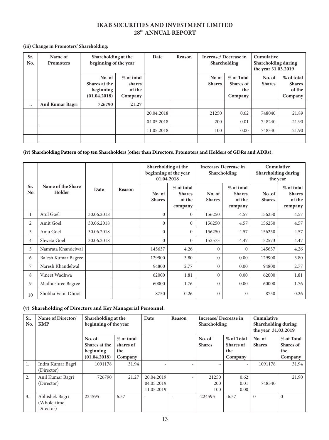#### **(iii) Change in Promoters' Shareholding:**

| Sr.<br>No. | Name of<br><b>Promoters</b> | Shareholding at the<br>beginning of the year         |                                           | Date<br>Reason |  | Shareholding           | Increase/Decrease in                      | Cumulative<br>Shareholding during<br>the year 31.03.2019 |                                                  |
|------------|-----------------------------|------------------------------------------------------|-------------------------------------------|----------------|--|------------------------|-------------------------------------------|----------------------------------------------------------|--------------------------------------------------|
|            |                             | No. of<br>Shares at the<br>beginning<br>(01.04.2018) | % of total<br>shares<br>of the<br>Company |                |  | No of<br><b>Shares</b> | % of Total<br>Shares of<br>the<br>Company | No. of<br><b>Shares</b>                                  | % of total<br><b>Shares</b><br>of the<br>Company |
| ı.         | Anil Kumar Bagri            | 726790                                               | 21.27                                     |                |  |                        |                                           |                                                          |                                                  |
|            |                             |                                                      |                                           | 20.04.2018     |  | 21250                  | 0.62                                      | 748040                                                   | 21.89                                            |
|            |                             |                                                      |                                           | 04.05.2018     |  | 200                    | 0.01                                      | 748240                                                   | 21.90                                            |
|            |                             |                                                      |                                           | 11.05.2018     |  | 100                    | 0.00                                      | 748340                                                   | 21.90                                            |
|            |                             |                                                      |                                           |                |  |                        |                                           |                                                          |                                                  |

# **(iv) Shareholding Pattern of top ten Shareholders (other than Directors, Promoters and Holders of GDRs and ADRs):**

|                |                             |            |        |                         | Shareholding at the<br>beginning of the year<br>01.04.2018 |                         | Increase/Decrease in<br>Shareholding             | Cumulative<br>Shareholding during<br>the year |                                                  |
|----------------|-----------------------------|------------|--------|-------------------------|------------------------------------------------------------|-------------------------|--------------------------------------------------|-----------------------------------------------|--------------------------------------------------|
| Sr.<br>No.     | Name of the Share<br>Holder | Date       | Reason | No. of<br><b>Shares</b> | % of total<br><b>Shares</b><br>of the<br>company           | No. of<br><b>Shares</b> | % of total<br><b>Shares</b><br>of the<br>company | No. of<br><b>Shares</b>                       | % of total<br><b>Shares</b><br>of the<br>company |
| 1              | Atul Goel                   | 30.06.2018 |        | $\Omega$                | $\Omega$                                                   | 156250                  | 4.57                                             | 156250                                        | 4.57                                             |
| $\overline{2}$ | Amit Goel                   | 30.06.2018 |        | $\Omega$                | $\Omega$                                                   | 156250                  | 4.57                                             | 156250                                        | 4.57                                             |
| 3              | Anju Goel                   | 30.06.2018 |        | $\Omega$                | $\Omega$                                                   | 156250                  | 4.57                                             | 156250                                        | 4.57                                             |
| 4              | Shweta Goel                 | 30.06.2018 |        | $\Omega$                | $\Omega$                                                   | 152573                  | 4.47                                             | 152573                                        | 4.47                                             |
| 5              | Namrata Khandelwal          |            |        | 145637                  | 4.26                                                       | $\Omega$                | $\Omega$                                         | 145637                                        | 4.26                                             |
| 6              | Balesh Kumar Bagree         |            |        | 129900                  | 3.80                                                       | $\Omega$                | 0.00                                             | 129900                                        | 3.80                                             |
| 7              | Naresh Khandelwal           |            |        | 94800                   | 2.77                                                       | $\Omega$                | 0.00                                             | 94800                                         | 2.77                                             |
| 8              | Vineet Wadhwa               |            |        | 62000                   | 1.81                                                       | $\Omega$                | 0.00                                             | 62000                                         | 1.81                                             |
| 9              | Madhushree Bagree           |            |        | 60000                   | 1.76                                                       | $\Omega$                | 0.00                                             | 60000                                         | 1.76                                             |
| 10             | Shobha Venu Dhoot           |            |        | 8750                    | 0.26                                                       | $\Omega$                | $\Omega$                                         | 8750                                          | 0.26                                             |

### **(v) Shareholding of Directors and Key Managerial Personnel:**

| Sr.<br>No.       | Name of Director/<br><b>KMP</b>             | Shareholding at the<br>beginning of the year         |                                           | Date                                   |   | Reason                  | Increase/Decrease in<br>Shareholding      |                         | Cumulative<br>Shareholding during<br>the year 31.03.2019 |  |
|------------------|---------------------------------------------|------------------------------------------------------|-------------------------------------------|----------------------------------------|---|-------------------------|-------------------------------------------|-------------------------|----------------------------------------------------------|--|
|                  |                                             | No. of<br>Shares at the<br>beginning<br>(01.04.2018) | % of total<br>shares of<br>the<br>Company |                                        |   | No. of<br><b>Shares</b> | % of Total<br>Shares of<br>the<br>Company | No. of<br><b>Shares</b> | % of Total<br>Shares of<br>the<br>Company                |  |
| 1.               | Indra Kumar Bagri<br>(Director)             | 1091178                                              | 31.94                                     |                                        |   |                         | $\overline{\phantom{a}}$                  | 1091178                 | 31.94                                                    |  |
| 2.               | Anil Kumar Bagri<br>(Director)              | 726790                                               | 21.27                                     | 20.04.2019<br>04.05.2019<br>11.05.2019 |   | 21250<br>200<br>100     | 0.62<br>0.01<br>0.00                      | 748340                  | 21.90                                                    |  |
| $\overline{3}$ . | Abhishek Bagri<br>(Whole-time)<br>Director) | 224595                                               | 6.57                                      | ٠                                      | ۰ | $-224595$               | $-6.57$                                   | $\Omega$                | $\Omega$                                                 |  |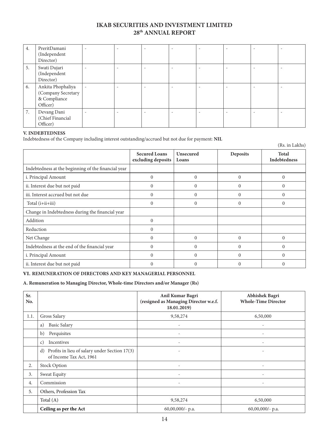| 4. | PreritDamani<br>(Independent<br>Director)                           | $\overline{\phantom{a}}$ | $\overline{\phantom{a}}$ | $\overline{\phantom{a}}$ | $\overline{\phantom{a}}$ | $\overline{\phantom{a}}$ | $\overline{\phantom{a}}$ | ٠ | $\overline{\phantom{a}}$ |
|----|---------------------------------------------------------------------|--------------------------|--------------------------|--------------------------|--------------------------|--------------------------|--------------------------|---|--------------------------|
| 5. | Swati Dujari<br>(Independent<br>Director)                           | $\overline{\phantom{a}}$ | $\overline{\phantom{a}}$ | $\overline{\phantom{a}}$ | $\overline{\phantom{a}}$ | $\overline{\phantom{a}}$ | $\overline{\phantom{a}}$ | ٠ | ٠                        |
| 6. | Ankita Phophaliya<br>(Company Secretary<br>& Compliance<br>Officer) | $\overline{\phantom{a}}$ | $\overline{\phantom{a}}$ | $\overline{\phantom{a}}$ | $\overline{\phantom{a}}$ | ۰                        | $\overline{\phantom{a}}$ | ٠ | $\overline{\phantom{a}}$ |
| 7. | Devang Dani<br>(Chief Financial<br>Officer)                         | $\overline{\phantom{a}}$ |                          | ۰                        | $\overline{\phantom{a}}$ | ۰                        | $\overline{\phantom{a}}$ | ٠ | ۰                        |

# **V. INDEBTEDNESS**

Indebtedness of the Company including interest outstanding/accrued but not due for payment: **NIL**

(Rs. in Lakhs)

|                                                     | <b>Secured Loans</b><br>excluding deposits | Unsecured<br>Loans | Deposits | Total<br>Indebtedness |
|-----------------------------------------------------|--------------------------------------------|--------------------|----------|-----------------------|
| Indebtedness at the beginning of the financial year |                                            |                    |          |                       |
| i. Principal Amount                                 | $\theta$                                   | $\theta$           | $\Omega$ | $\Omega$              |
| ii. Interest due but not paid                       | $\theta$                                   | $\Omega$           |          | $\Omega$              |
| iii. Interest accrued but not due                   |                                            |                    |          |                       |
| Total (i+ii+iii)                                    | $\Omega$                                   | $\Omega$           |          |                       |
| Change in Indebtedness during the financial year    |                                            |                    |          |                       |
| Addition                                            |                                            |                    |          |                       |
| Reduction                                           | $\theta$                                   |                    |          |                       |
| Net Change                                          | 0                                          |                    |          | $\Omega$              |
| Indebtedness at the end of the financial year       | 0                                          |                    |          | $\Omega$              |
| i. Principal Amount                                 | 0                                          | $\Omega$           | 0        | $\Omega$              |
| ii. Interest due but not paid                       | $\mathbf{\Omega}$                          |                    |          |                       |

# **VI. REMUNERATION OF DIRECTORS AND KEY MANAGERIAL PERSONNEL**

**A. Remuneration to Managing Director, Whole-time Directors and/or Manager (Rs)**

| Sr.<br>No. |                                                                                | Anil Kumar Bagri<br>(resigned as Managing Director w.e.f.<br>18.01.2019) | Abhishek Bagri<br><b>Whole-Time Director</b> |
|------------|--------------------------------------------------------------------------------|--------------------------------------------------------------------------|----------------------------------------------|
| 1.1.       | Gross Salary                                                                   | 9,58,274                                                                 | 6,50,000                                     |
|            | <b>Basic Salary</b><br>a)                                                      |                                                                          |                                              |
|            | Perquisites<br>b)                                                              | ٠                                                                        | $\overline{\phantom{a}}$                     |
|            | Incentives<br>$\mathcal{C}$ )                                                  | ٠                                                                        |                                              |
|            | Profits in lieu of salary under Section 17(3)<br>d)<br>of Income Tax Act, 1961 | ۰                                                                        |                                              |
| 2.         | <b>Stock Option</b>                                                            | $\overline{\phantom{a}}$                                                 | $\overline{\phantom{a}}$                     |
| 3.         | Sweat Equity                                                                   |                                                                          |                                              |
| 4.         | Commission                                                                     | ٠                                                                        | ٠                                            |
| 5.         | Others, Profession Tax                                                         |                                                                          |                                              |
|            | Total (A)                                                                      | 9,58,274                                                                 | 6,50,000                                     |
|            | Ceiling as per the Act                                                         | $60,00,000/$ - p.a.                                                      | $60,00,000/$ - p.a.                          |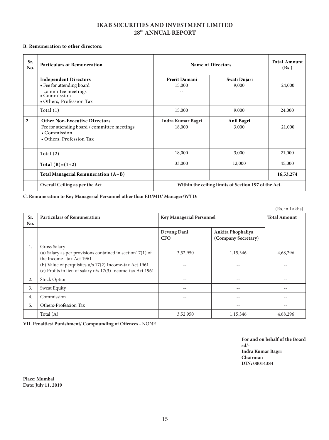#### **B. Remuneration to other directors:**

| Sr.<br>No.     | <b>Particulars of Remuneration</b>                                                                                                                                   |                             | Name of Directors                                    |           |
|----------------|----------------------------------------------------------------------------------------------------------------------------------------------------------------------|-----------------------------|------------------------------------------------------|-----------|
| 1              | <b>Independent Directors</b><br>• Fee for attending board<br>${\bf \small \bullet}$ Committee meetings ${\bf \small \bullet}$ Commission<br>• Others, Profession Tax | Prerit Damani<br>15,000     | Swati Dujari<br>9,000                                | 24,000    |
|                | Total $(1)$                                                                                                                                                          | 15,000                      | 9,000                                                | 24,000    |
| $\overline{2}$ | <b>Other Non-Executive Directors</b><br>Fee for attending board / committee meetings<br>$\bullet$ Commission<br>• Others, Profession Tax                             | Indra Kumar Bagri<br>18,000 | Anil Bagri<br>3,000                                  | 21,000    |
|                | Total $(2)$                                                                                                                                                          | 18,000                      | 3,000                                                | 21,000    |
|                | Total $(B)=(1+2)$                                                                                                                                                    | 33,000                      | 12,000                                               | 45,000    |
|                | Total Managerial Remuneration $(A+B)$                                                                                                                                |                             |                                                      | 16,53,274 |
|                | Overall Ceiling as per the Act                                                                                                                                       |                             | Within the ceiling limits of Section 197 of the Act. |           |

**C. Remuneration to Key Managerial Personnel other than ED/MD/ Manager/WTD:**

|            |                                                                                                                                                                                                                                   |                                 |                                          | (Rs. in Lakhs)      |
|------------|-----------------------------------------------------------------------------------------------------------------------------------------------------------------------------------------------------------------------------------|---------------------------------|------------------------------------------|---------------------|
| Sr.<br>No. | <b>Particulars of Remuneration</b>                                                                                                                                                                                                | <b>Key Managerial Personnel</b> |                                          | <b>Total Amount</b> |
|            |                                                                                                                                                                                                                                   | Devang Dani<br><b>CFO</b>       | Ankita Phophaliya<br>(Company Secretary) |                     |
| 1.         | Gross Salary<br>(a) Salary as per provisions contained in section $17(1)$ of<br>the Income -tax Act 1961<br>(b) Value of perquisites u/s 17(2) Income-tax Act 1961<br>(c) Profits in lieu of salary u/s 17(3) Income-tax Act 1961 | 3,52,950                        | 1,15,346<br>--                           | 4,68,296            |
| 2.         | <b>Stock Option</b>                                                                                                                                                                                                               | $- -$                           | $-$                                      |                     |
| 3.         | Sweat Equity                                                                                                                                                                                                                      | $- -$                           | $- -$                                    |                     |
| 4.         | Commission                                                                                                                                                                                                                        | $- -$                           | --                                       |                     |
| 5.         | Others-Profession Tax                                                                                                                                                                                                             |                                 | $-$                                      |                     |
|            | Total $(A)$                                                                                                                                                                                                                       | 3,52,950                        | 1,15,346                                 | 4,68,296            |

**VII. Penalties/ Punishment/ Compounding of Offences -** NONE

**For and on behalf of the Board sd/- Indra Kumar Bagri Chairman DIN: 00014384**

**Place: Mumbai Date: July 11, 2019**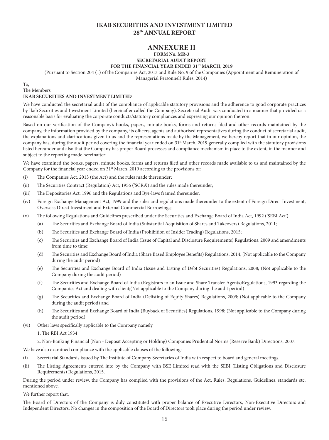# **ANNEXURE II**

#### **FORM No. MR-3**

#### **SECRETARIAL AUDIT REPORT** FOR THE FINANCIAL YEAR ENDED 31<sup>ST</sup> MARCH, 2019

(Pursuant to Section 204 (1) of the Companies Act, 2013 and Rule No. 9 of the Companies (Appointment and Remuneration of

Managerial Personnel) Rules, 2014)

To,

The Members

#### **IKAB SECURITIES AND INVESTMENT LIMITED**

We have conducted the secretarial audit of the compliance of applicable statutory provisions and the adherence to good corporate practices by Ikab Securities and Investment Limited (hereinafter called the Company). Secretarial Audit was conducted in a manner that provided us a reasonable basis for evaluating the corporate conducts/statutory compliances and expressing our opinion thereon.

Based on our verification of the Company's books, papers, minute books, forms and returns filed and other records maintained by the company, the information provided by the company, its officers, agents and authorised representatives during the conduct of secretarial audit, the explanations and clarifications given to us and the representations made by the Management, we hereby report that in our opinion, the company has, during the audit period covering the financial year ended on 31st March, 2019 generally complied with the statutory provisions listed hereunder and also that the Company has proper Board processes and compliance mechanism in place to the extent, in the manner and subject to the reporting made hereinafter:

We have examined the books, papers, minute books, forms and returns filed and other records made available to us and maintained by the Company for the financial year ended on 31<sup>st</sup> March, 2019 according to the provisions of:

- (i) The Companies Act, 2013 (the Act) and the rules made thereunder;
- (ii) The Securities Contract (Regulation) Act, 1956 ('SCRA') and the rules made thereunder;
- (iii) The Depositories Act, 1996 and the Regulations and Bye-laws framed thereunder;
- (iv) Foreign Exchange Management Act, 1999 and the rules and regulations made thereunder to the extent of Foreign Direct Investment, Overseas Direct Investment and External Commercial Borrowings;
- (v) The following Regulations and Guidelines prescribed under the Securities and Exchange Board of India Act, 1992 ('SEBI Act')
	- (a) The Securities and Exchange Board of India (Substantial Acquisition of Shares and Takeovers) Regulations, 2011;
	- (b) The Securities and Exchange Board of India (Prohibition of Insider Trading) Regulations, 2015;
	- (c) The Securities and Exchange Board of India (Issue of Capital and Disclosure Requirements) Regulations, 2009 and amendments from time to time;
	- (d) The Securities and Exchange Board of India (Share Based Employee Benefits) Regulations, 2014; (Not applicable to the Company during the audit period)
	- (e) The Securities and Exchange Board of India (Issue and Listing of Debt Securities) Regulations, 2008; (Not applicable to the Company during the audit period)
	- (f) The Securities and Exchange Board of India (Registrars to an Issue and Share Transfer Agents)Regulations, 1993 regarding the Companies Act and dealing with client;(Not applicable to the Company during the audit period)
	- (g) The Securities and Exchange Board of India (Delisting of Equity Shares) Regulations, 2009; (Not applicable to the Company during the audit period) and
	- (h) The Securities and Exchange Board of India (Buyback of Securities) Regulations, 1998; (Not applicable to the Company during the audit period)
- (vi) Other laws specifically applicable to the Company namely

1. The RBI Act 1934

2. Non-Banking Financial (Non - Deposit Accepting or Holding) Companies Prudential Norms (Reserve Bank) Directions, 2007.

We have also examined compliance with the applicable clauses of the following:

- (i) Secretarial Standards issued by The Institute of Company Secretaries of India with respect to board and general meetings.
- (ii) The Listing Agreements entered into by the Company with BSE Limited read with the SEBI (Listing Obligations and Disclosure Requirements) Regulations, 2015.

During the period under review, the Company has complied with the provisions of the Act, Rules, Regulations, Guidelines, standards etc. mentioned above.

We further report that:

The Board of Directors of the Company is duly constituted with proper balance of Executive Directors, Non-Executive Directors and Independent Directors. No changes in the composition of the Board of Directors took place during the period under review.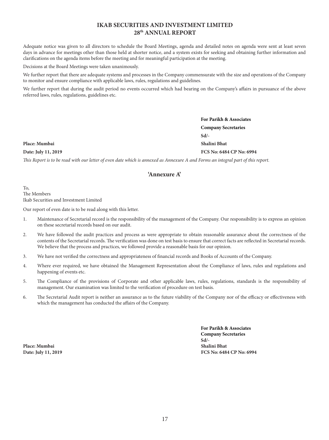Adequate notice was given to all directors to schedule the Board Meetings, agenda and detailed notes on agenda were sent at least seven days in advance for meetings other than those held at shorter notice, and a system exists for seeking and obtaining further information and clarifications on the agenda items before the meeting and for meaningful participation at the meeting.

Decisions at the Board Meetings were taken unanimously.

We further report that there are adequate systems and processes in the Company commensurate with the size and operations of the Company to monitor and ensure compliance with applicable laws, rules, regulations and guidelines.

We further report that during the audit period no events occurred which had bearing on the Company's affairs in pursuance of the above referred laws, rules, regulations, guidelines etc.

**For Parikh & Associates**

**Company Secretaries**

**Sd/-**

**Place: Mumbai Shalini Bhat**

**Date: July 11, 2019 FCS No: 6484 CP No: 6994**

*This Report is to be read with our letter of even date which is annexed as Annexure A and Forms an integral part of this report.*

### **'Annexure A'**

To, The Members Ikab Securities and Investment Limited

Our report of even date is to be read along with this letter.

- 1. Maintenance of Secretarial record is the responsibility of the management of the Company. Our responsibility is to express an opinion on these secretarial records based on our audit.
- 2. We have followed the audit practices and process as were appropriate to obtain reasonable assurance about the correctness of the contents of the Secretarial records. The verification was done on test basis to ensure that correct facts are reflected in Secretarial records. We believe that the process and practices, we followed provide a reasonable basis for our opinion.
- 3. We have not verified the correctness and appropriateness of financial records and Books of Accounts of the Company.
- 4. Where ever required, we have obtained the Management Representation about the Compliance of laws, rules and regulations and happening of events etc.
- 5. The Compliance of the provisions of Corporate and other applicable laws, rules, regulations, standards is the responsibility of management. Our examination was limited to the verification of procedure on test basis.
- 6. The Secretarial Audit report is neither an assurance as to the future viability of the Company nor of the efficacy or effectiveness with which the management has conducted the affairs of the Company.

**Place: Mumbai Shalini Bhat**

**For Parikh & Associates Company Secretaries Sd/- Date: July 11, 2019 FCS No: 6484 CP No: 6994**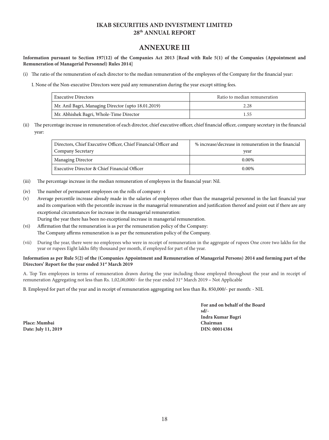# **ANNEXURE III**

**Information pursuant to Section 197(12) of the Companies Act 2013 [Read with Rule 5(1) of the Companies (Appointment and Remuneration of Managerial Personnel) Rules 2014]**

(i) The ratio of the remuneration of each director to the median remuneration of the employees of the Company for the financial year:

I. None of the Non-executive Directors were paid any remuneration during the year except sitting fees.

| <b>Executive Directors</b>                          | Ratio to median remuneration |
|-----------------------------------------------------|------------------------------|
| Mr. Anil Bagri, Managing Director (upto 18.01.2019) | 2.28                         |
| Mr. Abhishek Bagri, Whole-Time Director             | . 55                         |

(ii) The percentage increase in remuneration of each director, chief executive officer, chief financial officer, company secretary in the financial year:

| Directors, Chief Executive Officer, Chief Financial Officer and | % increase/decrease in remuneration in the financial |
|-----------------------------------------------------------------|------------------------------------------------------|
| Company Secretary                                               | vear                                                 |
| Managing Director                                               | $0.00\%$                                             |
| Executive Director & Chief Financial Officer                    | $0.00\%$                                             |

- (iii) The percentage increase in the median remuneration of employees in the financial year: Nil.
- (iv) The number of permanent employees on the rolls of company: 4
- (v) Average percentile increase already made in the salaries of employees other than the managerial personnel in the last financial year and its comparison with the percentile increase in the managerial remuneration and justification thereof and point out if there are any exceptional circumstances for increase in the managerial remuneration: During the year there has been no exceptional increase in managerial remuneration.
- (vi) Affirmation that the remuneration is as per the remuneration policy of the Company: The Company affirms remuneration is as per the remuneration policy of the Company.
- (vii) During the year, there were no employees who were in receipt of remuneration in the aggregate of rupees One crore two lakhs for the year or rupees Eight lakhs fifty thousand per month, if employed for part of the year.

#### **Information as per Rule 5(2) of the (Companies Appointment and Remuneration of Managerial Persons) 2014 and forming part of the Directors' Report for the year ended 31st March 2019**

A. Top Ten employees in terms of remuneration drawn during the year including those employed throughout the year and in receipt of remuneration Aggregating not less than Rs. 1,02,00,000/- for the year ended 31st March 2019 **–** Not Applicable

B. Employed for part of the year and in receipt of remuneration aggregating not less than Rs. 850,000/- per month: - NIL

**For and on behalf of the Board sd/- Indra Kumar Bagri**

Place: Mumbai **Chairman**<br>
Date: Iuly 11, 2019 Date: July 11, 2019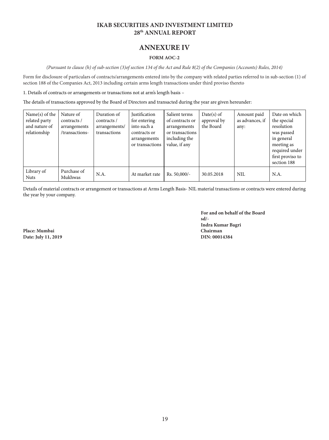# **ANNEXURE IV**

#### **FORM AOC-2**

*(Pursuant to clause (h) of sub-section (3)of section 134 of the Act and Rule 8(2) of the Companies (Accounts) Rules, 2014)*

Form for disclosure of particulars of contracts/arrangements entered into by the company with related parties referred to in sub-section (1) of section 188 of the Companies Act, 2013 including certain arms length transactions under third proviso thereto

1. Details of contracts or arrangements or transactions not at arm's length basis –

The details of transactions approved by the Board of Directors and transacted during the year are given hereunder:

| Name $(s)$ of the<br>related party<br>and nature of<br>relationship | Nature of<br>contracts /<br>arrangements<br>/transactions- | Duration of<br>contracts /<br>arrangements/<br>transactions | Justification<br>for entering<br>into such a<br>contracts or<br>arrangements<br>or transactions | Salient terms<br>of contracts or<br>arrangements<br>or transactions<br>including the<br>value, if any | $Date(s)$ of<br>approval by<br>the Board | Amount paid<br>as advances, if<br>any: | Date on which<br>the special<br>resolution<br>was passed<br>in general<br>meeting as<br>required under<br>first proviso to<br>section 188 |
|---------------------------------------------------------------------|------------------------------------------------------------|-------------------------------------------------------------|-------------------------------------------------------------------------------------------------|-------------------------------------------------------------------------------------------------------|------------------------------------------|----------------------------------------|-------------------------------------------------------------------------------------------------------------------------------------------|
| Library of<br><b>Nuts</b>                                           | Purchase of<br>Mukhwas                                     | N.A.                                                        | At market rate                                                                                  | $Rs. 50,000/-$                                                                                        | 30.05.2018                               | NIL                                    | N.A.                                                                                                                                      |

Details of material contracts or arrangement or transactions at Arms Length Basis- NIL material transactions or contracts were entered during the year by your company.

> **For and on behalf of the Board sd/- Indra Kumar Bagri**

Place: Mumbai Chairman<br>
Date: July 11, 2019<br>
DIN: 00014384 Date: July 11, 2019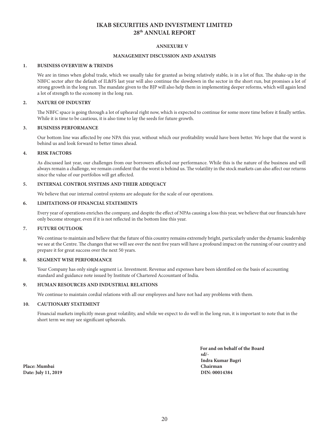#### **ANNEXURE V**

#### **MANAGEMENT DISCUSSION AND ANALYSIS**

#### **1. BUSINESS OVERVIEW & TRENDS**

We are in times when global trade, which we usually take for granted as being relatively stable, is in a lot of flux. The shake-up in the NBFC sector after the default of IL&FS last year will also continue the slowdown in the sector in the short run, but promises a lot of strong growth in the long run. The mandate given to the BJP will also help them in implementing deeper reforms, which will again lend a lot of strength to the economy in the long run.

#### **2. NATURE OF INDUSTRY**

The NBFC space is going through a lot of upheaval right now, which is expected to continue for some more time before it finally settles. While it is time to be cautious, it is also time to lay the seeds for future growth.

#### **3. BUSINESS PERFORMANCE**

Our bottom line was affected by one NPA this year, without which our profitability would have been better. We hope that the worst is behind us and look forward to better times ahead.

#### **4. RISK FACTORS**

As discussed last year, our challenges from our borrowers affected our performance. While this is the nature of the business and will always remain a challenge, we remain confident that the worst is behind us. The volatility in the stock markets can also affect our returns since the value of our portfolios will get affected.

#### **5. INTERNAL CONTROL SYSTEMS AND THEIR ADEQUACY**

We believe that our internal control systems are adequate for the scale of our operations.

#### **6. LIMITATIONS OF FINANCIAL STATEMENTS**

Every year of operations enriches the company, and despite the effect of NPAs causing a loss this year, we believe that our financials have only become stronger, even if it is not reflected in the bottom line this year.

#### **7. FUTURE OUTLOOK**

We continue to maintain and believe that the future of this country remains extremely bright, particularly under the dynamic leadership we see at the Centre. The changes that we will see over the next five years will have a profound impact on the running of our country and prepare it for great success over the next 50 years.

#### **8. SEGMENT WISE PERFORMANCE**

Your Company has only single segment i.e. Investment. Revenue and expenses have been identified on the basis of accounting standard and guidance note issued by Institute of Chartered Accountant of India.

#### **9. HUMAN RESOURCES AND INDUSTRIAL RELATIONS**

We continue to maintain cordial relations with all our employees and have not had any problems with them.

#### **10. CAUTIONARY STATEMENT**

Financial markets implicitly mean great volatility, and while we expect to do well in the long run, it is important to note that in the short term we may see significant upheavals.

**Place: Mumbai Chairman Date: July 11, 2019 DIN: 00014384**

 **For and on behalf of the Board sd/- Indra Kumar Bagri**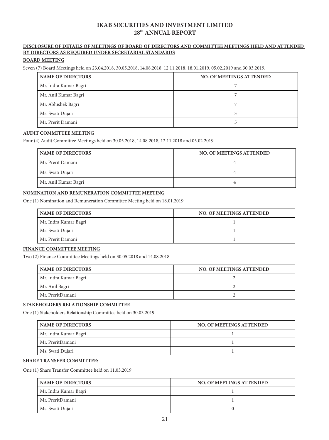#### **DISCLOSURE OF DETAILS OF MEETINGS OF BOARD OF DIRECTORS AND COMMITTEE MEETINGS HELD AND ATTENDED BY DIRECTORS AS REQUIRED UNDER SECRETARIAL STANDARDS**

#### **BOARD MEETING**

Seven (7) Board Meetings held on 23.04.2018, 30.05.2018, 14.08.2018, 12.11.2018, 18.01.2019, 05.02.2019 and 30.03.2019.

| <b>NAME OF DIRECTORS</b> | <b>NO. OF MEETINGS ATTENDED</b> |
|--------------------------|---------------------------------|
| Mr. Indra Kumar Bagri    |                                 |
| Mr. Anil Kumar Bagri     |                                 |
| Mr. Abhishek Bagri       |                                 |
| Ms. Swati Dujari         |                                 |
| Mr. Prerit Damani        |                                 |

#### **AUDIT COMMITTEE MEETING**

Four (4) Audit Committee Meetings held on 30.05.2018, 14.08.2018, 12.11.2018 and 05.02.2019.

| <b>NAME OF DIRECTORS</b> | <b>NO. OF MEETINGS ATTENDED</b> |
|--------------------------|---------------------------------|
| Mr. Prerit Damani        |                                 |
| Ms. Swati Dujari         |                                 |
| Mr. Anil Kumar Bagri     |                                 |

#### **NOMINATION AND REMUNERATION COMMITTEE MEETING**

One (1) Nomination and Remuneration Committee Meeting held on 18.01.2019

| <b>NAME OF DIRECTORS</b> | <b>NO. OF MEETINGS ATTENDED</b> |
|--------------------------|---------------------------------|
| Mr. Indra Kumar Bagri    |                                 |
| Ms. Swati Dujari         |                                 |
| Mr. Prerit Damani        |                                 |

#### **FINANCE COMMITTEE MEETING**

Two (2) Finance Committee Meetings held on 30.05.2018 and 14.08.2018

| <b>NAME OF DIRECTORS</b> | <b>NO. OF MEETINGS ATTENDED</b> |
|--------------------------|---------------------------------|
| Mr. Indra Kumar Bagri    |                                 |
| Mr. Anil Bagri           |                                 |
| Mr. PreritDamani         |                                 |

#### **STAKEHOLDERS RELATIONSHIP COMMITTEE**

One (1) Stakeholders Relationship Committee held on 30.03.2019

| <b>NAME OF DIRECTORS</b> | <b>NO. OF MEETINGS ATTENDED</b> |
|--------------------------|---------------------------------|
| Mr. Indra Kumar Bagri    |                                 |
| Mr. PreritDamani         |                                 |
| Ms. Swati Dujari         |                                 |

#### **SHARE TRANSFER COMMITTEE:**

One (1) Share Transfer Committee held on 11.03.2019

| NAME OF DIRECTORS     | <b>NO. OF MEETINGS ATTENDED</b> |
|-----------------------|---------------------------------|
| Mr. Indra Kumar Bagri |                                 |
| Mr. PreritDamani      |                                 |
| Ms. Swati Dujari      |                                 |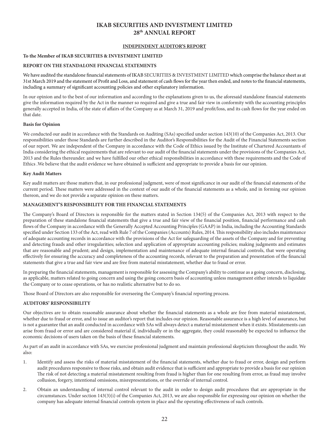#### **INDEPENDENT AUDITOR'S REPORT**

#### **To the Member of IKAB SECURITIES & INVESTMENT LIMITED**

#### **REPORT ON THE STANDALONE FINANCIAL STATEMENTS**

We have audited the standalone financial statements of IKAB SECURITIES & INVESTMENT LIMITED which comprise the balance sheet as at 31st March 2019 and the statement of Profit and Loss, and statement of cash flows for the year then ended, and notes to the financial statements, including a summary of significant accounting policies and other explanatory information.

In our opinion and to the best of our information and according to the explanations given to us, the aforesaid standalone financial statements give the information required by the Act in the manner so required and give a true and fair view in conformity with the accounting principles generally accepted in India, of the state of affairs of the Company as at March 31, 2019 and profit/loss, and its cash flows for the year ended on that date.

#### **Basis for Opinion**

We conducted our audit in accordance with the Standards on Auditing (SAs) specified under section 143(10) of the Companies Act, 2013. Our responsibilities under those Standards are further described in the Auditor's Responsibilities for the Audit of the Financial Statements section of our report. We are independent of the Company in accordance with the Code of Ethics issued by the Institute of Chartered Accountants of India considering the ethical requirements that are relevant to our audit of the financial statements under the provisions of the Companies Act, 2013 and the Rules thereunder. and we have fulfilled our other ethical responsibilities in accordance with these requirements and the Code of Ethics .We believe that the audit evidence we have obtained is sufficient and appropriate to provide a basis for our opinion.

#### **Key Audit Matters**

Key audit matters are those matters that, in our professional judgment, were of most significance in our audit of the financial statements of the current period. These matters were addressed in the context of our audit of the financial statements as a whole, and in forming our opinion thereon, and we do not provide a separate opinion on these matters.

#### **MANAGEMENT'S RESPONSIBILITY FOR THE FINANCIAL STATEMENTS**

The Company's Board of Directors is responsible for the matters stated in Section 134(5) of the Companies Act, 2013 with respect to the preparation of these standalone financial statements that give a true and fair view of the financial position, financial performance and cash flows of the Company in accordance with the Generally Accepted Accounting Principles (GAAP) in India, including the Accounting Standards specified under Section 133 of the Act, read with Rule 7 of the Companies (Accounts) Rules, 2014. This responsibility also includes maintenance of adequate accounting records in accordance with the provisions of the Act for safeguarding of the assets of the Company and for preventing and detecting frauds and other irregularities; selection and application of appropriate accounting policies; making judgments and estimates that are reasonable and prudent; and design, implementation and maintenance of adequate internal financial controls, that were operating effectively for ensuring the accuracy and completeness of the accounting records, relevant to the preparation and presentation of the financial statements that give a true and fair view and are free from material misstatement, whether due to fraud or error.

In preparing the financial statements, management is responsible for assessing the Company's ability to continue as a going concern, disclosing, as applicable, matters related to going concern and using the going concern basis of accounting unless management either intends to liquidate the Company or to cease operations, or has no realistic alternative but to do so.

Those Board of Directors are also responsible for overseeing the Company's financial reporting process.

#### **AUDITORS' RESPONSIBILITY**

Our objectives are to obtain reasonable assurance about whether the financial statements as a whole are free from material misstatement, whether due to fraud or error, and to issue an auditor's report that includes our opinion. Reasonable assurance is a high level of assurance, but is not a guarantee that an audit conducted in accordance with SAs will always detect a material misstatement when it exists. Misstatements can arise from fraud or error and are considered material if, individually or in the aggregate, they could reasonably be expected to influence the economic decisions of users taken on the basis of these financial statements.

As part of an audit in accordance with SAs, we exercise professional judgment and maintain professional skepticism throughout the audit. We also:

- 1. Identify and assess the risks of material misstatement of the financial statements, whether due to fraud or error, design and perform audit procedures responsive to those risks, and obtain audit evidence that is sufficient and appropriate to provide a basis for our opinion The risk of not detecting a material misstatement resulting from fraud is higher than for one resulting from error, as fraud may involve collusion, forgery, intentional omissions, misrepresentations, or the override of internal control.
- 2. Obtain an understanding of internal control relevant to the audit in order to design audit procedures that are appropriate in the circumstances. Under section 143(3)(i) of the Companies Act, 2013, we are also responsible for expressing our opinion on whether the company has adequate internal financial controls system in place and the operating effectiveness of such controls.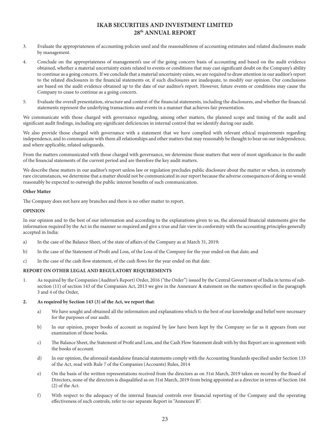- 3. Evaluate the appropriateness of accounting policies used and the reasonableness of accounting estimates and related disclosures made by management.
- 4. Conclude on the appropriateness of management's use of the going concern basis of accounting and based on the audit evidence obtained, whether a material uncertainty exists related to events or conditions that may cast significant doubt on the Company's ability to continue as a going concern. If we conclude that a material uncertainty exists, we are required to draw attention in our auditor's report to the related disclosures in the financial statements or, if such disclosures are inadequate, to modify our opinion. Our conclusions are based on the audit evidence obtained up to the date of our auditor's report. However, future events or conditions may cause the Company to cease to continue as a going concern.
- 5. Evaluate the overall presentation, structure and content of the financial statements, including the disclosures, and whether the financial statements represent the underlying transactions and events in a manner that achieves fair presentation.

We communicate with those charged with governance regarding, among other matters, the planned scope and timing of the audit and significant audit findings, including any significant deficiencies in internal control that we identify during our audit.

We also provide those charged with governance with a statement that we have complied with relevant ethical requirements regarding independence, and to communicate with them all relationships and other matters that may reasonably be thought to bear on our independence, and where applicable, related safeguards.

From the matters communicated with those charged with governance, we determine those matters that were of most significance in the audit of the financial statements of the current period and are therefore the key audit matters.

We describe these matters in our auditor's report unless law or regulation precludes public disclosure about the matter or when, in extremely rare circumstances, we determine that a matter should not be communicated in our report because the adverse consequences of doing so would reasonably be expected to outweigh the public interest benefits of such communication.

#### **Other Matter**

The Company does not have any branches and there is no other matter to report.

#### **OPINION**

In our opinion and to the best of our information and according to the explanations given to us, the aforesaid financial statements give the information required by the Act in the manner so required and give a true and fair view in conformity with the accounting principles generally accepted in India:

- a) In the case of the Balance Sheet, of the state of affairs of the Company as at March 31, 2019;
- b) In the case of the Statement of Profit and Loss, of the Loss of the Company for the year ended on that date; and
- c) In the case of the cash flow statement, of the cash flows for the year ended on that date.

#### **REPORT ON OTHER LEGAL AND REGULATORY REQUIREMENTS**

1. As required by the Companies (Auditor's Report) Order, 2016 ("the Order") issued by the Central Government of India in terms of subsection (11) of section 143 of the Companies Act, 2013 we give in the Annexure **A** statement on the matters specified in the paragraph 3 and 4 of the Order,

#### **2. As required by Section 143 (3) of the Act, we report that**:

- a) We have sought and obtained all the information and explanations which to the best of our knowledge and belief were necessary for the purposes of our audit.
- b) In our opinion, proper books of account as required by law have been kept by the Company so far as it appears from our examination of those books.
- c) The Balance Sheet, the Statement of Profit and Loss, and the Cash Flow Statement dealt with by this Report are in agreement with the books of account.
- d) In our opinion, the aforesaid standalone financial statements comply with the Accounting Standards specified under Section 133 of the Act, read with Rule 7 of the Companies (Accounts) Rules, 2014
- e) On the basis of the written representations received from the directors as on 31st March, 2019 taken on record by the Board of Directors, none of the directors is disqualified as on 31st March, 2019 from being appointed as a director in terms of Section 164 (2) of the Act.
- f) With respect to the adequacy of the internal financial controls over financial reporting of the Company and the operating effectiveness of such controls, refer to our separate Report in "Annexure B".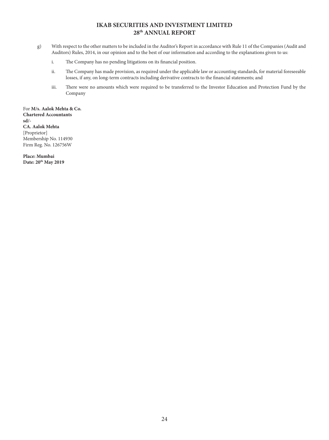- g) With respect to the other matters to be included in the Auditor's Report in accordance with Rule 11 of the Companies (Audit and Auditors) Rules, 2014, in our opinion and to the best of our information and according to the explanations given to us:
	- i. The Company has no pending litigations on its financial position.
	- ii. The Company has made provision, as required under the applicable law or accounting standards, for material foreseeable losses, if any, on long-term contracts including derivative contracts to the financial statements; and
	- iii. There were no amounts which were required to be transferred to the Investor Education and Protection Fund by the Company

For **M/s. Aalok Mehta & Co. Chartered Accountants sd/- CA. Aalok Mehta** [Proprietor] Membership No. 114930 Firm Reg. No. 126756W

**Place: Mumbai Date: 20th May 2019**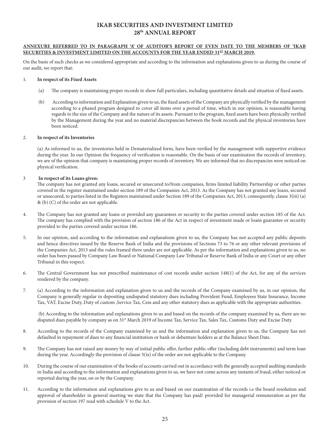#### **ANNEXURE REFERRED TO IN PARAGRAPH 'A' OF AUDITOR'S REPORT OF EVEN DATE TO THE MEMBERS OF 'IKAB**  SECURITIES & INVESTMENT LIMITED ON THE ACCOUNTS FOR THE YEAR ENDED 31<sup>ST</sup> MARCH 2019.

On the basis of such checks as we considered appropriate and according to the information and explanations given to us during the course of our audit, we report that:

#### 1. **In respect of its Fixed Assets**

- (a) The company is maintaining proper records to show full particulars, including quantitative details and situation of fixed assets.
- (b) According to information and Explanation given to us, the fixed assets of the Company are physically verified by the management according to a phased program designed to cover all items over a period of time, which in our opinion, is reasonable having regards to the size of the Company and the nature of its assets. Pursuant to the program, fixed assets have been physically verified by the Management during the year and no material discrepancies between the book records and the physical inventories have been noticed.

#### 2. **In respect of its Inventories**

(a) As informed to us, the inventories held in Dematerialized form, have been verified by the management with supportive evidence during the year. In our Opinion the frequency of verification is reasonable. On the basis of our examination the records of inventory, we are of the opinion that company is maintaining proper records of inventory. We are informed that no discrepancies were noticed on physical verification.

#### 3 **In respect of its Loans given:**

The company has not granted any loans, secured or unsecured to/from companies, firms limited liability Partnership or other parties covered in the register maintained under section 189 of the Companies Act, 2013. As the Company has not granted any loans, secured or unsecured, to parties listed in the Registers maintained under Section 189 of the Companies Act, 2013, consequently, clause 3(iii) (a) & (b) (C) of the order are not applicable.

- 4. The Company has not granted any loans or provided any guarantees or security to the parties covered under section 185 of the Act. The company has complied with the provision of section 186 of the Act in respect of investment made or loans guarantee or security provided to the parties covered under section 186.
- 5. In our opinion, and according to the information and explanations given to us, the Company has not accepted any public deposits and hence directives issued by the Reserve Bank of India and the provisions of Sections 73 to 76 or any other relevant provisions of the Companies Act, 2013 and the rules framed there under are not applicable. As per the information and explanations given to us, no order has been passed by Company Law Board or National Company Law Tribunal or Reserve Bank of India or any Court or any other Tribunal in this respect.
- 6. The Central Government has not prescribed maintenance of cost records under section 148(1) of the Act, for any of the services rendered by the company.
- 7. (a) According to the information and explanation given to us and the records of the Company examined by us, in our opinion, the Company is generally regular in depositing undisputed statutory dues including Provident Fund, Employees State Insurance, Income Tax, VAT, Excise Duty, Duty of custom ,Service Tax, Cess and any other statutory dues as applicable with the appropriate authorities.

 (b) According to the information and explanations given to us and based on the records of the company examined by us, there are no disputed dues payable by company as on 31<sup>st</sup> March 2019 of Income Tax, Service Tax, Sales Tax, Customs Duty and Excise Duty.

- 8. According to the records of the Company examined by us and the information and explanation given to us, the Company has not defaulted in repayment of dues to any financial institution or bank or debenture holders as at the Balance Sheet Date.
- 9. The Company has not raised any money by way of initial public offer, further public offer (including debt instruments) and term loan during the year. Accordingly the provision of clause 3(ix) of the order are not applicable to the Company.
- 10. During the course of our examination of the books of accounts carried out in accordance with the generally accepted auditing standards in India and according to the information and explanations given to us, we have not come across any instants of fraud, either noticed or reported during the year, on or by the Company.
- 11. According to the information and explanations give to us and based on our examination of the records i.e the board resolution and approval of shareholder in general meeting we state that the Company has paid/ provided for managerial remuneration as per the provision of section 197 read with schedule V to the Act.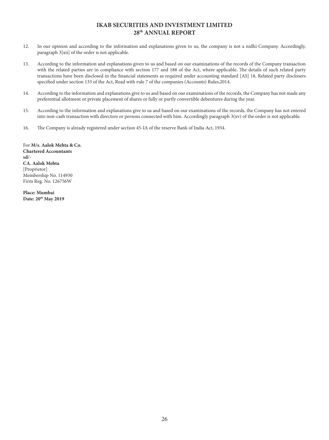- 12. In our opinion and according to the information and explanations given to us, the company is not a nidhi Company. Accordingly, paragraph 3[xii] of the order is not applicable.
- 13. According to the information and explanations given to us and based on our examinations of the records of the Company transaction with the related parties are in compliance with section 177 and 188 of the Act, where applicable. The details of such related party transactions have been disclosed in the financial statements as required under accounting standard [AS] 18, Related party disclosers specified under section 133 of the Act, Read with rule 7 of the companies (Accounts) Rules,2014.
- 14. According to the information and explanations give to us and based on our examinations of the records, the Company has not made any preferential allotment or private placement of shares or fully or partly convertible debentures during the year.
- 15. According to the information and explanations give to us and based on our examinations of the records, the Company has not entered into non-cash transaction with directors or persons connected with him. Accordingly paragraph 3(xv) of the order is not applicable.
- 16. The Company is already registered under section 45-IA of the reserve Bank of India Act, 1934.

For **M/s. Aalok Mehta & Co. Chartered Accountants sd/- CA. Aalok Mehta** [Proprietor] Membership No. 114930 Firm Reg. No. 126756W

**Place: Mumbai Date: 20th May 2019**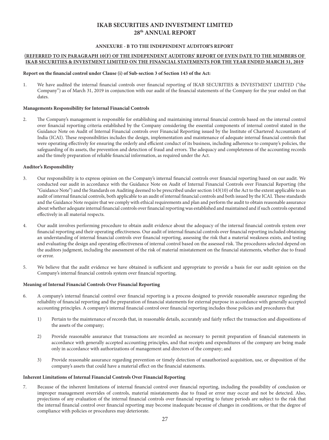#### **ANNEXURE - B TO THE INDEPENDENT AUDITOR'S REPORT**

#### **(REFERRED TO IN PARAGRAPH 10(F) OF THE INDEPENDENT AUDITORS' REPORT OF EVEN DATE TO THE MEMBERS OF IKAB SECURITIES & INVESTMENT LIMITED ON THE FINANCIAL STATEMENTS FOR THE YEAR ENDED MARCH 31, 2019**

#### **Report on the financial control under Clause (i) of Sub-section 3 of Section 143 of the Act:**

1. We have audited the internal financial controls over financial reporting of IKAB SECURITIES & INVESTMENT LIMITED ("the Company") as of March 31, 2019 in conjunction with our audit of the financial statements of the Company for the year ended on that dates.

#### **Managements Responsibility for Internal Financial Controls**

2. The Company's management is responsible for establishing and maintaining internal financial controls based on the internal control over financial reporting criteria established by the Company considering the essential components of internal control stated in the Guidance Note on Audit of Internal Financial controls over Financial Reporting issued by the Institute of Chartered Accountants of India (ICAI). These responsibilities includes the design, implementation and maintenance of adequate internal financial controls that were operating effectively for ensuring the orderly and efficient conduct of its business, including adherence to company's policies, the safeguarding of its assets, the prevention and detection of fraud and errors. The adequacy and completeness of the accounting records and the timely preparation of reliable financial information, as required under the Act.

#### **Auditor's Responsibility**

- 3. Our responsibility is to express opinion on the Company's internal financial controls over financial reporting based on our audit. We conducted our audit in accordance with the Guidance Note on Audit of Internal Financial Controls over Financial Reporting (the "Guidance Note") and the Standards on Auditing deemed to be prescribed under section 143(10) of the Act to the extent applicable to an audit of internal financial controls, both applicable to an audit of internal financial controls and both issued by the ICAI. These standards and the Guidance Note require that we comply with ethical requirements and plan and perform the audit to obtain reasonable assurance about whether adequate internal financial controls over financial reporting was established and maintained and if such controls operated effectively in all material respects.
- 4. Our audit involves performing procedure to obtain audit evidence about the adequacy of the internal financial controls system over financial reporting and their operating effectiveness. Our audit of internal financial controls over financial reporting included obtaining an understanding of internal financial controls over financial reporting, assessing the risk that a material weakness exists, and testing and evaluating the design and operating effectiveness of internal control based on the assessed risk. The procedures selected depend on the auditors judgment, including the assessment of the risk of material misstatement on the financial statements, whether due to fraud or error.
- 5. We believe that the audit evidence we have obtained is sufficient and appropriate to provide a basis for our audit opinion on the Company's internal financial controls system over financial reporting.

#### **Meaning of Internal Financial Controls Over Financial Reporting**

- 6. A company's internal financial control over financial reporting is a process designed to provide reasonable assurance regarding the reliability of financial reporting and the preparation of financial statements for external purpose in accordance with generally accepted accounting principles. A company's internal financial control over financial reporting includes those policies and procedures that
	- 1) Pertain to the maintenance of records that, in reasonable details, accurately and fairly reflect the transaction and dispositions of the assets of the company;
	- 2) Provide reasonable assurance that transactions are recorded as necessary to permit preparation of financial statements in accordance with generally accepted accounting principles, and that receipts and expenditures of the company are being made only in accordance with authorizations of management and directors of the company; and
	- 3) Provide reasonable assurance regarding prevention or timely detection of unauthorized acquisition, use, or disposition of the company's assets that could have a material effect on the financial statements.

#### **Inherent Limitations of Internal Financial Controls Over Financial Reporting**

7. Because of the inherent limitations of internal financial control over financial reporting, including the possibility of conclusion or improper management overrides of controls, material misstatements due to fraud or error may occur and not be detected. Also, projections of any evaluation of the internal financial controls over financial reporting to future periods are subject to the risk that the internal financial control over financial reporting may become inadequate because of changes in conditions, or that the degree of compliance with policies or procedures may deteriorate.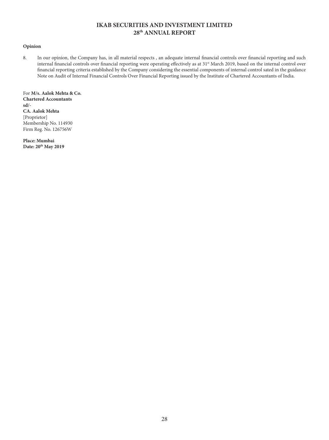#### **Opinion**

8. In our opinion, the Company has, in all material respects , an adequate internal financial controls over financial reporting and such internal financial controls over financial reporting were operating effectively as at 31<sup>st</sup> March 2019, based on the internal control over financial reporting criteria established by the Company considering the essential components of internal control sated in the guidance Note on Audit of Internal Financial Controls Over Financial Reporting issued by the Institute of Chartered Accountants of India.

For **M/s. Aalok Mehta & Co. Chartered Accountants sd/- CA. Aalok Mehta** [Proprietor] Membership No. 114930 Firm Reg. No. 126756W

**Place: Mumbai Date: 20th May 2019**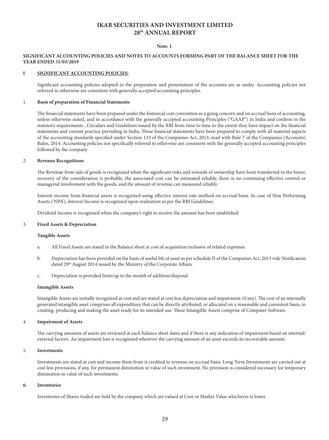#### **Note: 1**

#### **SIGNIFICANT ACCOUNTING POLICIES AND NOTES TO ACCOUNTS FORMING PART OF THE BALANCE SHEET FOR THE YEAR ENDED 31/03/2019**

#### **I SIGNIFICANT ACCOUNTING POLICIES**:

Significant accounting policies adopted in the preparation and presentation of the accounts are as under. Accounting policies not referred to otherwise are consistent with generally accepted accounting principles.

#### 1. **Basis of preparation of Financial Statements**

The financial statements have been prepared under the historical cost convention as a going concern and on accrual basis of accounting, unless otherwise stated, and in accordance with the generally accepted accounting Principles ("GAAP") in India and confirm to the statutory requirements , Circulars and Guidelines issued by the RBI from time to time to the extent they have impact on the financial statements and current practice prevailing in India. These financial statements have been prepared to comply with all material aspects of the accounting standards specified under Section 133 of the Companies Act, 2013, read with Rule 7 of the Companies (Accounts) Rules, 2014. Accounting policies not specifically referred to otherwise are consistent with the generally accepted accounting principles followed by the company

#### 2. **Revenue Recognitions**

The Revenue from sale of goods is recognized when the significant risks and rewards of ownership have been transferred to the buyer, recovery of the consideration is probable, the associated cost can be estimated reliably, there is no continuing effective control or managerial involvement with the goods, and the amount of revenue can measured reliably.

Interest income from financial assets is recognized using effective interest rate method on accrual basis. In case of Non Performing Assets ('NPA'), Interest Income is recognized upon realization as per the RBI Guidelines.

Dividend income is recognized when the company's right to receive the amount has been established

#### 3. **Fixed Assets & Depreciation**

#### **Tangible Assets**

- a. All Fixed Assets are stated in the Balance sheet at cost of acquisition inclusive of related expenses.
- b. Depreciation has been provided on the basis of useful life of asset as per schedule II of the Companies Act, 2013 vide Notification dated 29<sup>th</sup> August 2014 issued by the Ministry of the Corporate Affairs.
- c. Depreciation is provided from/up to the month of addition/disposal.

#### **Intangible Assets**

Intangible Assets are initially recognized at cost and are stated at cost less depreciation and impairment (if any). The cost of an internally generated intangible asset comprises all expenditure that can be directly attributed, or allocated on a reasonable and consistent basis, to creating, producing and making the asset ready for its intended use. These Intangible Assets comprise of Computer Software.

#### 4. **Impairment of Assets**

The carrying amounts of assets are reviewed at each balance sheet dates and if there is any indication of impairment based on internal/ external factors. An impairment loss is recognized wherever the carrying amount of an asset exceeds its recoverable amount.

#### 5. **Investments**

Investments are stated at cost and income there from is credited to revenue on accrual basis. Long Term Investments are carried out at cost less provisions, if any, for permanent diminution in value of such investment. No provision is considered necessary for temporary diminution in value of such investments.

#### **6. Inventories**

Inventories of Shares traded are held by the company which are valued at Cost or Market Value whichever is lower.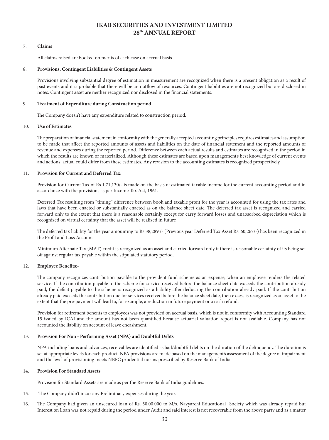#### 7. **Claims**

All claims raised are booked on merits of each case on accrual basis.

#### 8. **Provisions, Contingent Liabilities & Contingent Assets**

Provisions involving substantial degree of estimation in measurement are recognized when there is a present obligation as a result of past events and it is probable that there will be an outflow of resources. Contingent liabilities are not recognized but are disclosed in notes. Contingent asset are neither recognized nor disclosed in the financial statements.

#### 9. **Treatment of Expenditure during Construction period.**

The Company doesn't have any expenditure related to construction period.

#### 10. **Use of Estimates**

The preparation of financial statement in conformity with the generally accepted accounting principles requires estimates and assumption to be made that affect the reported amounts of assets and liabilities on the date of financial statement and the reported amounts of revenue and expenses during the reported period. Difference between each actual results and estimates are recognized in the period in which the results are known or materialized. Although these estimates are based upon management's best knowledge of current events and actions, actual could differ from these estimates. Any revision to the accounting estimates is recognized prospectively.

#### 11. **Provision for Current and Deferred Tax:**

Provision for Current Tax of Rs.1,71,130/- is made on the basis of estimated taxable income for the current accounting period and in accordance with the provisions as per Income Tax Act, 1961.

Deferred Tax resulting from "timing" difference between book and taxable profit for the year is accounted for using the tax rates and laws that have been enacted or substantially enacted as on the balance sheet date. The deferred tax asset is recognized and carried forward only to the extent that there is a reasonable certainly except for carry forward losses and unabsorbed depreciation which is recognized on virtual certainty that the asset will be realized in future

The deferred tax liability for the year amounting to Rs.38,289 /- (Previous year Deferred Tax Asset Rs. 60,267/-) has been recognized in the Profit and Loss Account

Minimum Alternate Tax (MAT) credit is recognized as an asset and carried forward only if there is reasonable certainty of its being set off against regular tax payable within the stipulated statutory period.

#### 12. **Employee Benefits**:-

The company recognizes contribution payable to the provident fund scheme as an expense, when an employee renders the related service. If the contribution payable to the scheme for service received before the balance sheet date exceeds the contribution already paid, the deficit payable to the scheme is recognized as a liability after deducting the contribution already paid. If the contribution already paid exceeds the contribution due for services received before the balance sheet date, then excess is recognized as an asset to the extent that the pre-payment will lead to, for example, a reduction in future payment or a cash refund.

Provision for retirement benefits to employees was not provided on accrual basis, which is not in conformity with Accounting Standard 15 issued by ICAI and the amount has not been quantified because actuarial valuation report is not available. Company has not accounted the liability on account of leave encashment.

#### 13. **Provision For Non - Performing Asset (NPA) and Doubtful Debts**

NPA including loans and advances, receivables are identified as bad/doubtful debts on the duration of the delinquency. The duration is set at appropriate levels for each product. NPA provisions are made based on the management's assessment of the degree of impairment and the level of provisioning meets NBFC prudential norms prescribed by Reserve Bank of India

#### 14. **Provision For Standard Assets**

Provision for Standard Assets are made as per the Reserve Bank of India guidelines.

- 15. The Company didn't incur any Preliminary expenses during the year.
- 16. The Company had given an unsecured loan of Rs. 50,00,000 to M/s. Navyarchi Educational Society which was already repaid but Interest on Loan was not repaid during the period under Audit and said interest is not recoverable from the above party and as a matter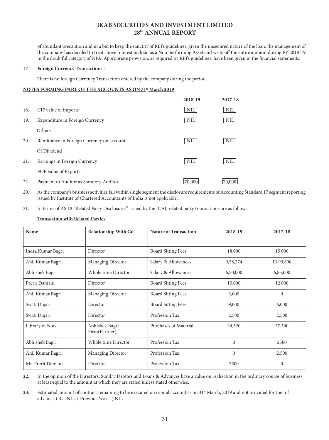of abundant precaution and in a bid to keep the sanctity of RBI's guidelines, given the unsecured nature of the loan, the management of the company has decided to treat above Interest on loan as a Non performing Asset and write off the entire amount during FY 2018-19 in the doubtful category of NPA. Appropriate provision, as required by RBI's guidelines, have been given in the financial statements.

#### 17. **Foreign Currency Transactions** :-

There is no foreign Currency Transaction entered by the company during the period.

#### **NOTES FORMING PART OF THE ACCOUNTS AS ON 31st March 2019**

|     |                                           | 2018-19 | 2017-18    |
|-----|-------------------------------------------|---------|------------|
| 18. | CIF value of imports                      | NIL     | NIL        |
| 19. | Expenditure in Foreign Currency           | NIL     | NIL        |
|     | Others                                    |         |            |
| 20. | Remittance in Foreign Currency on account | NIL     | NIL        |
|     | Of Dividend                               |         |            |
| 21. | Earnings in Foreign Currency              | NIL     | <b>NIL</b> |
|     | FOB value of Exports.                     |         |            |
| 22. | Payment to Auditor as Statutory Auditor   | 70,000  | 70,000     |

20. As the company's business activities fall within single segment the disclosure requirements of Accounting Standard 17 segment reporting issued by Institute of Chartered Accountants of India is not applicable.

21. In terms of AS 18 "Related Party Disclosures" issued by the ICAI, related party transactions are as follows:

#### **Transaction with Related Parties**

| Name              | Relationship With Co.           | <b>Nature of Transaction</b> | 2018-19  | 2017-18      |
|-------------------|---------------------------------|------------------------------|----------|--------------|
| Indra Kumar Bagri | Director                        | <b>Board Sitting Fees</b>    | 18,000   | 15,000       |
| Anil Kumar Bagri  | Managing Director               | Salary & Allowances          | 9,58,274 | 13,99,800    |
| Abhishek Bagri    | Whole time Director             | Salary & Allowances          | 6,50,000 | 6,85,000     |
| Prerit Damani     | Director                        | <b>Board Sitting Fees</b>    | 15,000   | 12,000       |
| Anil Kumar Bagri  | Managing Director               | <b>Board Sitting Fees</b>    | 3,000    | $\mathbf{0}$ |
| Swati Dujari      | Director                        | <b>Board Sitting Fees</b>    | 9,000    | 6,000        |
| Swati Dujari      | Director                        | Profession Tax               | 2,500    | 2,500        |
| Library of Nuts   | Abhishek Bagri<br>Firm(Partner) | Purchases of Material        | 24,520   | 37,500       |
| Abhishek Bagri    | Whole time Director             | Profession Tax               | $\theta$ | 2500         |
| Anil Kumar Bagri  | Managing Director               | Profession Tax               | $\Omega$ | 2,500        |
| Mr. Prerit Damani | Director                        | Profession Tax               | 2500     | $\Omega$     |

**22.** In the opinion of the Directors, Sundry Debtors and Loans & Advances have a value on realization in the ordinary course of business at least equal to the amount at which they are stated unless stated otherwise.

23. Estimated amount of contract remaining to be executed on capital account as on 31<sup>st</sup> March, 2019 and not provided for (net of advances) Rs. NIL ( Previous Year : ) NIL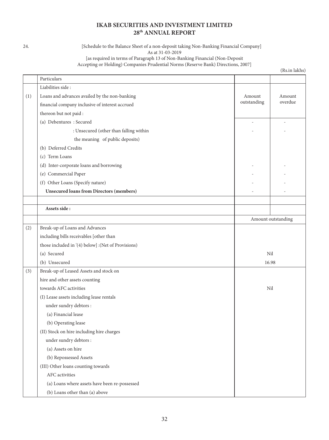24. [Schedule to the Balance Sheet of a non-deposit taking Non-Banking Financial Company] As at 31-03-2019

[as required in terms of Paragraph 13 of Non-Banking Financial (Non-Deposit

Accepting or Holding) Companies Prudential Norms (Reserve Bank) Directions, 2007]

|     |                                                    |                | (Rs.in lakhs)      |
|-----|----------------------------------------------------|----------------|--------------------|
|     | Particulars                                        |                |                    |
|     | Liabilities side:                                  |                |                    |
| (1) | Loans and advances availed by the non-banking      | Amount         | Amount             |
|     | financial company inclusive of interest accrued    | outstanding    | overdue            |
|     | thereon but not paid :                             |                |                    |
|     | (a) Debentures : Secured                           | $\overline{a}$ | L,                 |
|     | : Unsecured (other than falling within             |                |                    |
|     | the meaning of public deposits)                    |                |                    |
|     | (b) Deferred Credits                               |                |                    |
|     | (c) Term Loans                                     |                |                    |
|     | (d) Inter-corporate loans and borrowing            |                |                    |
|     | (e) Commercial Paper                               |                |                    |
|     | (f) Other Loans (Specify nature)                   |                |                    |
|     | <b>Unsecured loans from Directors (members)</b>    |                |                    |
|     |                                                    |                |                    |
|     | Assets side:                                       |                |                    |
|     |                                                    |                | Amount outstanding |
| (2) | Break-up of Loans and Advances                     |                |                    |
|     | including bills receivables [other than            |                |                    |
|     | those included in '(4) below] :(Net of Provisions) |                |                    |
|     | (a) Secured                                        |                | Nil                |
|     | (b) Unsecured                                      |                | 16.98              |
| (3) | Break-up of Leased Assets and stock on             |                |                    |
|     | hire and other assets counting                     |                |                    |
|     | towards AFC activities                             |                | Nil                |
|     | (I) Lease assets including lease rentals           |                |                    |
|     | under sundry debtors:                              |                |                    |
|     | (a) Financial lease                                |                |                    |
|     | (b) Operating lease                                |                |                    |
|     | (II) Stock on hire including hire charges          |                |                    |
|     | under sundry debtors:                              |                |                    |
|     | (a) Assets on hire                                 |                |                    |
|     | (b) Repossessed Assets                             |                |                    |
|     | (III) Other loans counting towards                 |                |                    |
|     | <b>AFC</b> activities                              |                |                    |
|     | (a) Loans where assets have been re-possessed      |                |                    |
|     | (b) Loans other than (a) above                     |                |                    |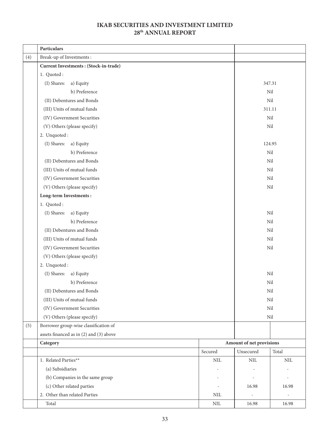|     | Particulars                             |                          |                          |                          |
|-----|-----------------------------------------|--------------------------|--------------------------|--------------------------|
| (4) | Break-up of Investments:                |                          |                          |                          |
|     | Current Investments : (Stock-in-trade)  |                          |                          |                          |
|     | 1. Quoted :                             |                          |                          |                          |
|     | (I) Shares:<br>a) Equity                |                          |                          | 347.31                   |
|     | b) Preference                           |                          |                          | Nil                      |
|     | (II) Debentures and Bonds               |                          |                          | Nil                      |
|     | (III) Units of mutual funds             |                          |                          | 311.11                   |
|     | (IV) Government Securities              |                          |                          | Nil                      |
|     | (V) Others (please specify)             |                          |                          | Nil                      |
|     | 2. Unquoted :                           |                          |                          |                          |
|     | (I) Shares:<br>a) Equity                |                          |                          | 124.95                   |
|     | b) Preference                           |                          |                          | Nil                      |
|     | (II) Debentures and Bonds               |                          |                          | Nil                      |
|     | (III) Units of mutual funds             |                          |                          | Nil                      |
|     | (IV) Government Securities              |                          |                          | Nil                      |
|     | (V) Others (please specify)             |                          |                          | Nil                      |
|     | Long-term Investments:                  |                          |                          |                          |
|     | 1. Quoted :                             |                          |                          |                          |
|     | (I) Shares:<br>a) Equity                |                          |                          | Nil                      |
|     | b) Preference                           |                          |                          | Nil                      |
|     | (II) Debentures and Bonds               |                          |                          | Nil                      |
|     | (III) Units of mutual funds             |                          |                          | Nil                      |
|     | (IV) Government Securities              |                          |                          | Nil                      |
|     | (V) Others (please specify)             |                          |                          |                          |
|     | 2. Unquoted :                           |                          |                          |                          |
|     | (I) Shares:<br>a) Equity                |                          |                          | Nil                      |
|     | b) Preference                           |                          |                          | Nil                      |
|     | (II) Debentures and Bonds               |                          |                          | Nil                      |
|     | (III) Units of mutual funds             |                          |                          | Nil                      |
|     | (IV) Government Securities              |                          |                          | Nil                      |
|     | (V) Others (please specify)             |                          |                          | Nil                      |
| (5) | Borrower group-wise classification of   |                          |                          |                          |
|     | assets financed as in (2) and (3) above |                          |                          |                          |
|     | Category                                |                          | Amount of net provisions |                          |
|     |                                         | Secured                  | Unsecured                | Total                    |
|     | 1. Related Parties**                    | $\rm NIL$                | $\rm NIL$                | $\rm NIL$                |
|     | (a) Subsidiaries                        | $\overline{\phantom{a}}$ | $\overline{\phantom{a}}$ | $\overline{\phantom{a}}$ |
|     | (b) Companies in the same group         | $\overline{\phantom{a}}$ | $\overline{\phantom{a}}$ | $\overline{\phantom{a}}$ |
|     | (c) Other related parties               | $\overline{\phantom{a}}$ | 16.98                    | 16.98                    |
|     | 2. Other than related Parties           | $\rm NIL$                | $\overline{\phantom{a}}$ | $\overline{a}$           |
|     | Total                                   | $\rm NIL$                | 16.98                    | 16.98                    |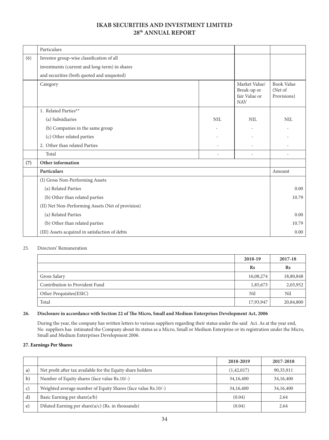|     | Particulars                                       |            |                                                             |                                             |
|-----|---------------------------------------------------|------------|-------------------------------------------------------------|---------------------------------------------|
| (6) | Investor group-wise classification of all         |            |                                                             |                                             |
|     | investments (current and long-term) in shares     |            |                                                             |                                             |
|     | and securities (both quoted and unquoted)         |            |                                                             |                                             |
|     | Category                                          |            | Market Value/<br>Break-up or<br>fair Value or<br><b>NAV</b> | <b>Book Value</b><br>(Net of<br>Provisions) |
|     | 1. Related Parties**                              |            |                                                             |                                             |
|     | (a) Subsidiaries                                  | <b>NIL</b> | NII.                                                        | NII.                                        |
|     | (b) Companies in the same group                   |            |                                                             |                                             |
|     | (c) Other related parties                         |            |                                                             |                                             |
|     | 2. Other than related Parties                     |            |                                                             |                                             |
|     | Total                                             |            |                                                             |                                             |
| (7) | Other information                                 |            |                                                             |                                             |
|     | <b>Particulars</b>                                |            |                                                             | Amount                                      |
|     | (I) Gross Non-Performing Assets                   |            |                                                             |                                             |
|     | (a) Related Parties                               |            |                                                             | 0.00                                        |
|     | (b) Other than related parties                    |            |                                                             | 10.79                                       |
|     | (II) Net Non-Performing Assets (Net of provision) |            |                                                             |                                             |
|     | (a) Related Parties                               |            |                                                             | 0.00                                        |
|     | (b) Other than related parties                    |            |                                                             | 10.79                                       |
|     | (III) Assets acquired in satisfaction of debts    |            |                                                             | 0.00                                        |

#### 25. Directors' Remuneration

|                                | 2018-19       | 2017-18   |
|--------------------------------|---------------|-----------|
|                                | $\mathbf{R}s$ | Rs        |
| Gross Salary                   | 16,08,274     | 18,80,848 |
| Contribution to Provident Fund | 1,85,673      | 2,03,952  |
| Other Perquisites (ESIC)       | Nil           | Nil       |
| Total                          | 17,93,947     | 20,84,800 |

#### **26. Disclosure in accordance with Section 22 of The Micro, Small and Medium Enterprises Development Act, 2006**

During the year, the company has written letters to various suppliers regarding their status under the said Act. As at the year end, No suppliers has intimated the Company about its status as a Micro, Small or Medium Enterprise or its registration under the Micro, Small and Medium Enterprises Development 2006.

#### **27. Earnings Per Shares**

|              |                                                               | 2018-2019   | 2017-2018 |
|--------------|---------------------------------------------------------------|-------------|-----------|
| a)           | Net profit after tax available for the Equity share holders   | (1,42,017)  | 90,35,911 |
| $\mathbf{b}$ | Number of Equity shares (face value Rs.10/-)                  | 34,16,400   | 34,16,400 |
| c)           | Weighted average number of Equity Shares (face value Rs.10/-) | 34, 16, 400 | 34,16,400 |
| d)           | Basic Earning per share $(a/b)$                               | (0.04)      | 2.64      |
| $\epsilon$   | Diluted Earning per share $(a/c)$ (Rs. in thousands)          | (0.04)      | 2.64      |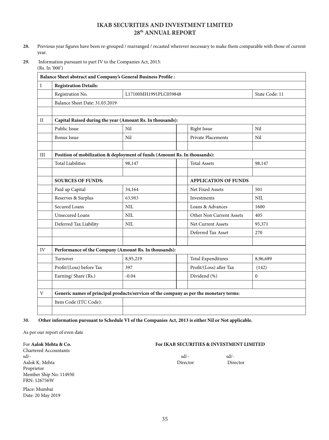- **28.** Previous year figures have been re-grouped / rearranged / recasted wherever necessary to make them comparable with those of current year.
- **29.** Information pursuant to part IV to the Companies Act, 2013: (Rs. In '000')

| Balance Sheet abstract and Company's General Business Profile : |                                                                           |                       |                                                                                        |                |  |  |
|-----------------------------------------------------------------|---------------------------------------------------------------------------|-----------------------|----------------------------------------------------------------------------------------|----------------|--|--|
| I                                                               | <b>Registration Details:</b>                                              |                       |                                                                                        |                |  |  |
|                                                                 | Registration No.                                                          | L17100MH1991PLC059848 |                                                                                        | State Code: 11 |  |  |
|                                                                 | Balance Sheet Date: 31.03.2019                                            |                       |                                                                                        |                |  |  |
|                                                                 |                                                                           |                       |                                                                                        |                |  |  |
| П                                                               | Capital Raised during the year (Amount Rs. In thousands):                 |                       |                                                                                        |                |  |  |
|                                                                 | Public Issue                                                              | Nil                   | <b>Right Issue</b>                                                                     |                |  |  |
|                                                                 | <b>Bonus</b> Issue                                                        | Nil                   | <b>Private Placements</b>                                                              | Nil            |  |  |
|                                                                 |                                                                           |                       |                                                                                        |                |  |  |
| III                                                             | Position of mobilization & deployment of funds (Amount Rs. In thousands): |                       |                                                                                        |                |  |  |
|                                                                 | <b>Total Liabilities</b>                                                  | 98,147                | <b>Total Assets</b>                                                                    | 98,147         |  |  |
|                                                                 |                                                                           |                       |                                                                                        |                |  |  |
|                                                                 | <b>SOURCES OF FUNDS:</b>                                                  |                       | <b>APPLICATION OF FUNDS</b>                                                            |                |  |  |
|                                                                 | Paid up Capital                                                           | 34,164                | Net Fixed Assets                                                                       | 501            |  |  |
|                                                                 | Reserves & Surplus                                                        | 63,983                | Investments                                                                            | NII.           |  |  |
|                                                                 | Secured Loans                                                             | NII.                  | Loans & Advances                                                                       | 1600           |  |  |
|                                                                 | Unsecured Loans                                                           | <b>NIL</b>            | Other Non Current Assets                                                               | 405            |  |  |
|                                                                 | Deferred Tax Liability                                                    | <b>NIL</b>            | Net Current Assets                                                                     | 95,371         |  |  |
|                                                                 |                                                                           |                       | Deferred Tax Asset                                                                     | 270            |  |  |
|                                                                 |                                                                           |                       |                                                                                        |                |  |  |
| IV                                                              | Performance of the Company (Amount Rs. In thousands):                     |                       |                                                                                        |                |  |  |
|                                                                 | Turnover                                                                  | 8,95,219              | <b>Total Expenditures</b>                                                              | 8,96,689       |  |  |
|                                                                 | Profit/(Loss) before Tax                                                  | 397                   | Profit/(Loss) after Tax                                                                | (142)          |  |  |
|                                                                 | Earning/Share (Rs.)                                                       | $-0.04$               | Dividend (%)                                                                           | $\mathbf{0}$   |  |  |
|                                                                 |                                                                           |                       |                                                                                        |                |  |  |
| V                                                               |                                                                           |                       | Generic names of principal products/services of the company as per the monetary terms: |                |  |  |
|                                                                 | Item Code (ITC Code):                                                     |                       |                                                                                        |                |  |  |
|                                                                 |                                                                           |                       |                                                                                        |                |  |  |

**30. Other information pursuant to Schedule VI of the Companies Act, 2013 is either Nil or Not applicable.**

As per our report of even date

Chartered Accountants sd/- sd/- sd/- Aalok K. Mehta Director Director Proprietor Member Ship No: 114930 FRN: 126756W

Place: Mumbai Date: 20 May 2019

#### For **Aalok Mehta & Co.** For **IKAB SECURITIES & INVESTMENT LIMITED**

| $sd/$ -  |  |  |
|----------|--|--|
| )irector |  |  |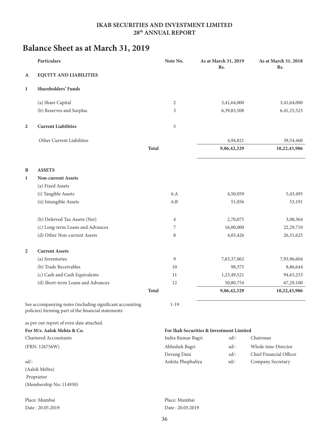# **Balance Sheet as at March 31, 2019**

|                | <b>Particulars</b>                                                                                             | Note No.          | As at March 31, 2019<br>Rs.              | As at March 31, 2018<br>Rs. |
|----------------|----------------------------------------------------------------------------------------------------------------|-------------------|------------------------------------------|-----------------------------|
| A              | EQUITY AND LIABILITIES                                                                                         |                   |                                          |                             |
| 1              | <b>Shareholders' Funds</b>                                                                                     |                   |                                          |                             |
|                | (a) Share Capital                                                                                              | 2                 | 3,41,64,000                              | 3,41,64,000                 |
|                | (b) Reserves and Surplus                                                                                       | 3                 | 6,39,83,508                              | 6, 41, 25, 525              |
| $\overline{2}$ | <b>Current Liabilities</b>                                                                                     | 5                 |                                          |                             |
|                | Other Current Liabilities                                                                                      |                   | 4,94,821                                 | 39,54,460                   |
|                |                                                                                                                | Total             | 9,86,42,329                              | 10,22,43,986                |
| B              | <b>ASSETS</b>                                                                                                  |                   |                                          |                             |
| 1              | <b>Non-current Assets</b>                                                                                      |                   |                                          |                             |
|                | (a) Fixed Assets                                                                                               |                   |                                          |                             |
|                | (i) Tangible Assets                                                                                            | 6.A               | 4,50,059                                 | 5,43,495                    |
|                | (ii) Intangible Assets                                                                                         | 6.B               | 51,056                                   | 53,191                      |
|                | (b) Deferred Tax Assets (Net)                                                                                  | $\overline{4}$    | 2,70,075                                 | 3,08,364                    |
|                | (c) Long-term Loans and Advances                                                                               | 7                 | 16,00,000                                | 22,29,710                   |
|                | (d) Other Non-current Assets                                                                                   | 8                 | 4,05,426                                 | 26,31,625                   |
| $\overline{2}$ | <b>Current Assets</b>                                                                                          |                   |                                          |                             |
|                | (a) Inventories                                                                                                | 9                 | 7,83,37,062                              | 7,93,96,604                 |
|                | (b) Trade Receivables                                                                                          | 10                | 98,375                                   | 8,86,644                    |
|                | (c) Cash and Cash Equivalents                                                                                  | 11                | 1,23,49,521                              | 94,65,253                   |
|                | (d) Short-term Loans and Advances                                                                              | 12                | 50,80,754                                | 67,29,100                   |
|                |                                                                                                                | Total             | 9,86,42,329                              | 10,22,43,986                |
|                | See accompanying notes (including significant accounting<br>policies) forming part of the financial statements | $1 - 19$          |                                          |                             |
|                | as per our report of even date attached.                                                                       |                   |                                          |                             |
|                | For M/s. Aalok Mehta & Co.                                                                                     |                   | For Ikab Securities & Investment Limited |                             |
|                | <b>Chartered Accountants</b>                                                                                   | Indra Kumar Bagri | $sd/-$                                   | Chairman                    |
|                | (FRN: 126756W)                                                                                                 | Abhishek Bagri    | $sd/-$                                   | Whole time Director         |
|                |                                                                                                                | Devang Dani       | $sd/-$                                   | Chief Financial Officer     |
| $sd/-$         |                                                                                                                | Ankita Phophaliya | $sd/-$                                   | Company Secretary           |
|                | (Aalok Mehta)                                                                                                  |                   |                                          |                             |
|                | Proprietor                                                                                                     |                   |                                          |                             |

(Membership No: 114930)

Date : 20.05.2019 Date : 20.05.2019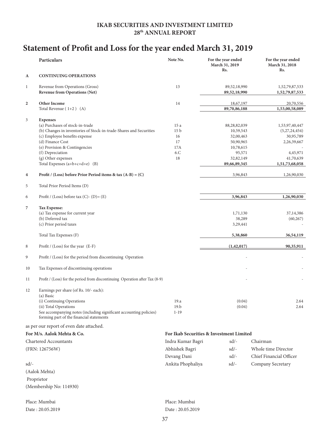# **Statement of Profit and Loss for the year ended March 31, 2019**

|          | Particulars                                                                                                                                                                                                                 | Note No.                            | For the year ended<br>March 31, 2019<br>Rs.         | For the year ended<br>March 31, 2018<br>Rs.                 |
|----------|-----------------------------------------------------------------------------------------------------------------------------------------------------------------------------------------------------------------------------|-------------------------------------|-----------------------------------------------------|-------------------------------------------------------------|
| A        | <b>CONTINUING OPERATIONS</b>                                                                                                                                                                                                |                                     |                                                     |                                                             |
| 1        | Revenue from Operations (Gross)<br><b>Revenue from Operations (Net)</b>                                                                                                                                                     | 13                                  | 89,52,18,990<br>89,52,18,990                        | 1,52,79,87,533<br>1,52,79,87,533                            |
| 2        | Other Income<br>Total Revenue (1+2) (A)                                                                                                                                                                                     | 14                                  | 18,67,197<br>89,70,86,188                           | 20,70,556<br>1,53,00,58,089                                 |
|          |                                                                                                                                                                                                                             |                                     |                                                     |                                                             |
| 3        | <b>Expenses</b><br>(a) Purchases of stock-in-trade<br>(b) Changes in inventories of Stock-in-trade-Shares and Securities<br>(c) Employee benefits expense<br>(d) Finance Cost                                               | 15 a<br>15 <sub>b</sub><br>16<br>17 | 88,28,82,039<br>10,59,543<br>32,00,463<br>50,90,965 | 1,53,97,40,447<br>(5,27,24,454)<br>30,95,789<br>2,26,39,667 |
|          | (e) Provision & Contingencies<br>(f) Depreciation<br>(g) Other expenses<br>Total Expenses $(a+b+c+d+e)$ (B)                                                                                                                 | 17A<br>6.C<br>18                    | 10,78,615<br>95,571<br>32,82,149<br>89,66,89,345    | 4,45,971<br>41,70,639<br>1,51,73,68,058                     |
| $\bf{4}$ | Profit / (Loss) before Prior Period items & tax $(A-B) = (C)$                                                                                                                                                               |                                     | 3,96,843                                            | 1,26,90,030                                                 |
| 5        | Total Prior Period Items (D)                                                                                                                                                                                                |                                     |                                                     |                                                             |
| 6        | Profit / (Loss) before tax (C)- (D)= $(E)$                                                                                                                                                                                  |                                     | 3,96,843                                            | 1,26,90,030                                                 |
| 7        | <b>Tax Expense:</b><br>(a) Tax expense for current year<br>(b) Deferred tax<br>(c) Prior period taxes<br>Total Tax Expenses (F)                                                                                             |                                     | 1,71,130<br>38,289<br>3,29,441<br>5,38,860          | 37,14,386<br>(60, 267)<br>36,54,119                         |
| 8        | Profit / (Loss) for the year $(E-F)$                                                                                                                                                                                        |                                     | (1, 42, 017)                                        | 90,35,911                                                   |
| 9        | Profit / (Loss) for the period from discontinuing Operation                                                                                                                                                                 |                                     |                                                     |                                                             |
| 10       | Tax Expenses of discontinuing operations                                                                                                                                                                                    |                                     |                                                     |                                                             |
| 11       | Profit / (Loss) for the period from discontinuing Operation after Tax $(8-9)$                                                                                                                                               |                                     |                                                     |                                                             |
| 12       | Earnings per share (of Rs. 10/- each):<br>(a) Basic<br>(i) Continuing Operations<br>(ii) Total Operations<br>See accompanying notes (including significant accounting policies)<br>forming part of the financial statements | 19.a<br>19.b<br>$1 - 19$            | (0.04)<br>(0.04)                                    | 2.64<br>2.64                                                |
|          | as per our report of even date attached.                                                                                                                                                                                    |                                     |                                                     |                                                             |
|          | For M/s. Aalok Mehta & Co.                                                                                                                                                                                                  |                                     | For Ikab Securities & Investment Limited            |                                                             |
|          | Chartered Accountants                                                                                                                                                                                                       | Indra Kumar Bagri                   | sd/-                                                | Chairman                                                    |
|          | (FRN: 126756W)                                                                                                                                                                                                              | Abhishek Bagri<br>Devang Dani       | sd/-<br>sd/-                                        | Whole time Director<br>Chief Financial Officer              |
| sd/-     | (Aalok Mehta)<br>Proprietor<br>(Membership No: 114930)                                                                                                                                                                      | Ankita Phophaliya                   | sd/-                                                | Company Secretary                                           |
|          | Place: Mumbai                                                                                                                                                                                                               | Place: Mumbai                       |                                                     |                                                             |
|          | Date: 20.05.2019                                                                                                                                                                                                            | Date: 20.05.2019                    |                                                     |                                                             |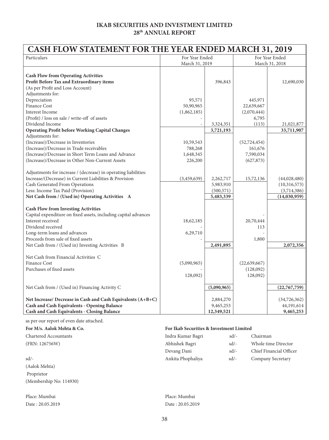| CASH FLOW STATEMENT FOR THE YEAR ENDED MARCH 31, 2019           |                |             |                |                |
|-----------------------------------------------------------------|----------------|-------------|----------------|----------------|
| Particulars                                                     | For Year Ended |             |                | For Year Ended |
|                                                                 | March 31, 2019 |             |                | March 31, 2018 |
|                                                                 |                |             |                |                |
| <b>Cash Flow from Operating Activities</b>                      |                |             |                |                |
| Profit Before Tax and Extraordinary items                       |                | 396,843     |                | 12,690,030     |
| (As per Profit and Loss Account)                                |                |             |                |                |
| Adjustments for:                                                |                |             |                |                |
| Depreciation                                                    | 95,571         |             | 445,971        |                |
| <b>Finance Cost</b>                                             | 50,90,965      |             | 22,639,667     |                |
| <b>Interest Income</b>                                          | (1,862,185)    |             | (2,070,444)    |                |
| (Profit) / loss on sale / write-off of assets                   |                |             | 6,795          |                |
| Dividend Income                                                 |                | 3,324,351   | (113)          | 21,021,877     |
| <b>Operating Profit before Working Capital Changes</b>          |                | 3,721,193   |                | 33,711,907     |
| Adjustments for:                                                |                |             |                |                |
| (Increase)/Decrease in Inventories                              | 10,59,543      |             | (52, 724, 454) |                |
| (Increase)/Decrease in Trade receivables                        | 788,268        |             | 161,676        |                |
| (Increase)/Decrease in Short Term Loans and Advance             | 1,648,345      |             | 7,590,034      |                |
| (Increase)/Decrease in Other Non-Current Assets                 | 226,200        |             | (627, 873)     |                |
|                                                                 |                |             |                |                |
| Adjustments for increase / (decrease) in operating liabilities: |                |             |                |                |
| Increase/(Decrease) in Current Liabilities & Provision          | (3,459,639)    | 2,262,717   | 15,72,136      | (44,028,480)   |
| Cash Generated From Operations                                  |                | 5,983,910   |                | (10,316,573)   |
| Less: Income Tax Paid (Provision)                               |                | (500, 571)  |                | (3,714,386)    |
| Net Cash from / (Used in) Operating Activities A                |                | 5,483,339   |                | (14,030,959)   |
|                                                                 |                |             |                |                |
| <b>Cash Flow from Investing Activities</b>                      |                |             |                |                |
| Capital expenditure on fixed assets, including capital advances |                |             |                |                |
| Interest received                                               | 18,62,185      |             | 20,70,444      |                |
| Dividend received                                               |                |             | 113            |                |
| Long-term loans and advances                                    | 6,29,710       |             |                |                |
| Proceeds from sale of fixed assets                              |                |             | 1,800          |                |
| Net Cash from / (Used in) Investing Activities B                |                | 2,491,895   |                | 2,072,356      |
|                                                                 |                |             |                |                |
| Net Cash from Financial Activities C                            |                |             |                |                |
| <b>Finance Cost</b>                                             | (5,090,965)    |             | (22, 639, 667) |                |
| Purchases of fixed assets                                       |                |             | (128,092)      |                |
|                                                                 | 128,092)       |             | 128,092)       |                |
|                                                                 |                |             |                |                |
| Net Cash from / (Used in) Financing Activity C                  |                | (5,090,965) |                | (22,767,759)   |
|                                                                 |                |             |                |                |
| Net Increase/ Decrease in Cash and Cash Equivalents (A+B+C)     |                | 2,884,270   |                | (34,726,362)   |
| Cash and Cash Equivalents - Opening Balance                     |                | 9,465,253   |                | 44,191,614     |
| Cash and Cash Equivalents - Closing Balance                     |                | 12,349,521  |                | 9,465,253      |

as per our report of even date attached.

**For M/s. Aalok Mehta & Co. For Ikab Securities & Investment Limited** Chartered Accountants Indra Kumar Bagri sd/- Chairman (FRN: 126756W) Abhishek Bagri sd/- Whole time Director Devang Dani sd/- Chief Financial Officer sd/- Ankita Phophaliya sd/- Company Secretary

(Aalok Mehta) Proprietor (Membership No: 114930)

Place: Mumbai Place: Mumbai Date : 20.05.2019 Date : 20.05.2019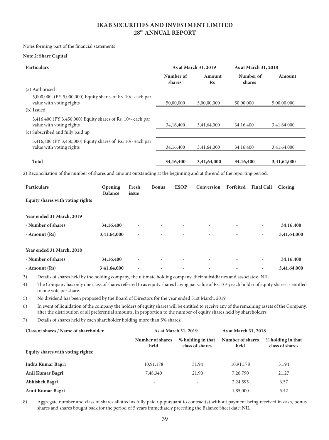Notes forming part of the financial statements

#### **Note 2: Share Capital**

| <b>Particulars</b>                                                                                                          |                     | As at March 31, 2019     | As at March 31, 2018 |             |
|-----------------------------------------------------------------------------------------------------------------------------|---------------------|--------------------------|----------------------|-------------|
|                                                                                                                             | Number of<br>shares | Amount<br>R <sub>s</sub> | Number of<br>shares  | Amount      |
| (a) Authorised                                                                                                              |                     |                          |                      |             |
| 5,000,000 (PY 5,000,000) Equity shares of Rs. 10/- each par<br>value with voting rights                                     | 50,00,000           | 5,00,00,000              | 50,00,000            | 5,00,00,000 |
| (b) Issued                                                                                                                  |                     |                          |                      |             |
| 3,416,400 (PY 3,450,000) Equity shares of Rs. 10/- each par<br>value with voting rights<br>(c) Subscribed and fully paid up | 34,16,400           | 3,41,64,000              | 34,16,400            | 3,41,64,000 |
| 3,416,400 (PY 3,450,000) Equity shares of Rs. 10/- each par<br>value with voting rights                                     | 34,16,400           | 3,41,64,000              | 34,16,400            | 3,41,64,000 |
| Total                                                                                                                       | 34,16,400           | 3,41,64,000              | 34,16,400            | 3,41,64,000 |

2) Reconciliation of the number of shares and amount outstanding at the beginning and at the end of the reporting period:

| Particulars                      | Opening<br><b>Balance</b> | Fresh<br>issue           | <b>Bonus</b>             | <b>ESOP</b> | Conversion               | Forfeited | <b>Final Call</b>        | Closing     |
|----------------------------------|---------------------------|--------------------------|--------------------------|-------------|--------------------------|-----------|--------------------------|-------------|
| Equity shares with voting rights |                           |                          |                          |             |                          |           |                          |             |
| Year ended 31 March, 2019        |                           |                          |                          |             |                          |           |                          |             |
| - Number of shares               | 34,16,400                 | $\overline{\phantom{a}}$ | $\overline{\phantom{a}}$ | ٠           | $\overline{\phantom{0}}$ | ٠         | $\overline{\phantom{a}}$ | 34,16,400   |
| - Amount (Rs)                    | 3,41,64,000               | $\overline{\phantom{a}}$ | -                        | ۰           | $\overline{\phantom{a}}$ | -         | $\overline{\phantom{a}}$ | 3,41,64,000 |
| Year ended 31 March, 2018        |                           |                          |                          |             |                          |           |                          |             |
| - Number of shares               | 34, 16, 400               | $\overline{\phantom{a}}$ | $\overline{\phantom{a}}$ | -           | $\overline{\phantom{a}}$ |           | ٠                        | 34,16,400   |
| - Amount (Rs)                    | 3,41,64,000               | $\overline{\phantom{a}}$ | ٠                        | ٠           | $\overline{\phantom{a}}$ | ٠         | $\overline{\phantom{a}}$ | 3,41,64,000 |

3) Details of shares held by the holding company, the ultimate holding company, their subsidiaries and associates: NIL

4) The Company has only one class of shares referred to as equity shares having par value of Rs. 10/-; each holder of equity shares is entitled to one vote per share.

5) No dividend has been proposed by the Board of Directors for the year ended 31st March, 2019

6) In event of liquidation of the company the holders of equity shares will be entitled to receive any of the remaining assets of the Company, after the distribution of all preferential amounts, in proportion to the number of equity shares held by shareholders.

7) Details of shares held by each shareholder holding more than 5% shares:

| Class of shares / Name of shareholder |                          | As at March 31, 2019                 | As at March 31, 2018     |                                      |
|---------------------------------------|--------------------------|--------------------------------------|--------------------------|--------------------------------------|
|                                       | Number of shares<br>held | % holding in that<br>class of shares | Number of shares<br>held | % holding in that<br>class of shares |
| Equity shares with voting rights:     |                          |                                      |                          |                                      |
| Indra Kumar Bagri                     | 10,91,178                | 31.94                                | 10,91,178                | 31.94                                |
| Anil Kumar Bagri                      | 7,48,340                 | 21.90                                | 7,26,790                 | 21.27                                |
| Abhishek Bagri                        | ۰                        | $\overline{\phantom{a}}$             | 2,24,595                 | 6.57                                 |
| Amit Kumar Bagri                      | ۰                        | ٠                                    | 1,85,000                 | 5.42                                 |

8) Aggregate number and class of shares allotted as fully paid up pursuant to contract(s) without payment being received in cash, bonus shares and shares bought back for the period of 5 years immediately preceding the Balance Sheet date: NIL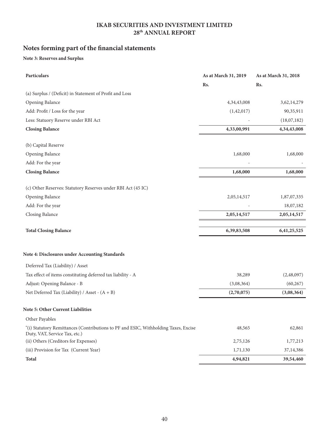# **Notes forming part of the financial statements**

# **Note 3: Reserves and Surplus**

| <b>Particulars</b>                                                                                                   | As at March 31, 2019 | As at March 31, 2018 |
|----------------------------------------------------------------------------------------------------------------------|----------------------|----------------------|
|                                                                                                                      | Rs.                  | Rs.                  |
| (a) Surplus / (Deficit) in Statement of Profit and Loss                                                              |                      |                      |
| Opening Balance                                                                                                      | 4, 34, 43, 008       | 3,62,14,279          |
| Add: Profit / Loss for the year                                                                                      | (1,42,017)           | 90,35,911            |
| Less: Statuory Reserve under RBI Act                                                                                 |                      | (18,07,182)          |
| <b>Closing Balance</b>                                                                                               | 4,33,00,991          | 4, 34, 43, 008       |
| (b) Capital Reserve                                                                                                  |                      |                      |
| Opening Balance                                                                                                      | 1,68,000             | 1,68,000             |
| Add: For the year                                                                                                    |                      |                      |
| <b>Closing Balance</b>                                                                                               | 1,68,000             | 1,68,000             |
| (c) Other Reserves: Statutory Reserves under RBI Act (45 IC)                                                         |                      |                      |
| Opening Balance                                                                                                      | 2,05,14,517          | 1,87,07,335          |
| Add: For the year                                                                                                    |                      | 18,07,182            |
| Closing Balance                                                                                                      | 2,05,14,517          | 2,05,14,517          |
| <b>Total Closing Balance</b>                                                                                         | 6,39,83,508          | 6,41,25,525          |
| Note 4: Disclosures under Accounting Standards                                                                       |                      |                      |
| Deferred Tax (Liability) / Asset                                                                                     |                      |                      |
| Tax effect of items constituting deferred tax liability - A                                                          | 38,289               | (2,48,097)           |
| Adjust: Opening Balance - B                                                                                          | (3,08,364)           | (60, 267)            |
| Net Deferred Tax (Liability) / Asset - $(A + B)$                                                                     | (2,70,075)           | (3,08,364)           |
| Note 5: Other Current Liabilities                                                                                    |                      |                      |
| Other Payables                                                                                                       |                      |                      |
| "(i) Statutory Remittances (Contributions to PF and ESIC, Withholding Taxes, Excise<br>Duty, VAT, Service Tax, etc.) | 48,565               | 62,861               |
| (ii) Others (Creditors for Expenses)                                                                                 | 2,75,126             | 1,77,213             |
| (iii) Provision for Tax (Current Year)                                                                               | 1,71,130             | 37,14,386            |
| Total                                                                                                                | 4,94,821             | 39,54,460            |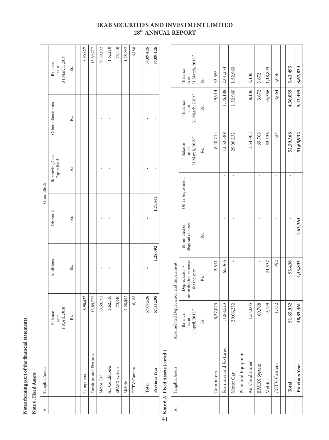| ļ                                                  |
|----------------------------------------------------|
| $\frac{1}{2}$<br>ł                                 |
| ֧֧֧֧֧֦֧֧֦֧ׅ֧֧֦֧֚֚֚֚֚֚֚֚֚֚֚֚֚֚֚֚֚֚֚֚֚֚֚֚֝֝֓֝֓֝֓֓֜֓֓ |
| <b>THOMA</b>                                       |
|                                                    |
|                                                    |

# Note 6: Fixed Assets **Note 6: Fixed Assets**

|                 | as at<br>31 March, 2019<br>Balance | Rs. | 8,90,627  | 13,89,777              | 30,59,192 | 1,62,110        | 73,440       | 1,28,092 | 6,188       | 57,09,426 | 57,09,426     |  |
|-----------------|------------------------------------|-----|-----------|------------------------|-----------|-----------------|--------------|----------|-------------|-----------|---------------|--|
|                 | Other adjustments                  | Rs. |           |                        |           |                 |              |          |             |           |               |  |
| Gross Block     | Borrowing Cost<br>Capitalised      | Rs. |           |                        |           |                 |              |          |             |           |               |  |
|                 | Disposals                          | Rs. |           |                        |           |                 |              |          |             |           | 1,71,961      |  |
|                 | Additions                          | Rs. |           |                        |           |                 |              |          |             |           | 1,28,092      |  |
|                 | April, 2018<br>Balance<br>as at    | Rs. | 8,90,627  | 13,89,777              | 30,59,192 | 1,62,110        | 73,440       | 1,28,092 | 6,188       | 57,09,426 | 57,53,295     |  |
| Tangible Assets |                                    |     | Computers | Furniture and Fixtures | Motor Car | Air Conditioner | EPABX System | Mobile   | CCTV Camera | Total     | Previous Year |  |
| ∢               |                                    |     |           |                        |           |                 |              |          |             |           |               |  |

# $\Rightarrow$  Note 6.A: Fixed Assets (contd.) **Note 6.A: Fixed Assets (contd.)**

| ∢ | Tangible Assets        | Accumulated Depreciation and Impairment |                                                        |                                     |                  |                                      |                                      |                                      |
|---|------------------------|-----------------------------------------|--------------------------------------------------------|-------------------------------------|------------------|--------------------------------------|--------------------------------------|--------------------------------------|
|   |                        | 1 April, 2018"<br>"Balance<br>as at     | amortisation expense<br>Depreciation /<br>for the year | disposal of assets<br>Eliminated on | Other Adjustment | 31 March, 2019"<br>"Balance<br>as at | 31 March, 2019"<br>"Balance<br>as at | 31 March, 2018"<br>"Balance<br>as at |
|   |                        | Rs.                                     | Rs.                                                    | Rs.                                 |                  | Rs.                                  | Rs.                                  | Rs.                                  |
|   | Computers              | 8,37,073                                | 3,641                                                  | ï                                   | $\overline{1}$   | 8,40,714                             | 49,914                               | 53,555                               |
|   | Furniture and Fixtures | 11,88,523                               | 65,066                                                 | ï                                   | $\mathbf{I}$     | 12,53,589                            | 1,36,188                             | 2,01,254                             |
|   | Motor Car              | 29,06,232                               |                                                        | ï                                   | ï                | 29,06,232                            | 1,52,960                             | 1,52,960                             |
|   | Plant and Equipment    |                                         |                                                        |                                     |                  |                                      |                                      |                                      |
|   | Air Conditioner        | 1,54,005                                |                                                        | ï                                   | $\mathbf{I}$     | 1,54,005                             | 8,106                                | 8,106                                |
|   | EPABX System           | 69,768                                  |                                                        | ï                                   | $\mathbf{I}$     | 69,768                               | 3,672                                | 3,672                                |
|   | Mobile                 | 9,199                                   | 24,337                                                 | ï                                   | ï                | 33,536                               | 94,556                               | 1,18,893                             |
|   | CCTV Camera            | 1,132                                   | 392                                                    | ï                                   | ï                | 1,524                                | 4,664                                | 5,056                                |
|   |                        |                                         |                                                        |                                     |                  |                                      |                                      |                                      |
|   | Total                  | 51,65,932                               | 93,436                                                 |                                     | í.               | 52,59,368                            | 4,50,059                             | 5,43,495                             |
|   | Previous Year          | 48,85,461                               | 4,43,835                                               | 1,63,364                            | 1                | 51,65,932                            | 5,43,495                             | 8,67,834                             |

# **IKAB SECURITIES AND INVESTMENT LIMITED 28th ANNUAL REPORT**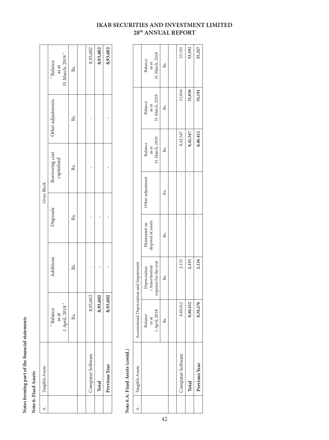# Notes forming part of the financial statements **Notes forming part of the financial statements**

# Note 6: Fixed Assets **Note 6: Fixed Assets**

|                 | 31 March, 2019<br>"Balance<br>as at | Rs. | 8,93,602          | 8,93,602 | 8,93,602      |
|-----------------|-------------------------------------|-----|-------------------|----------|---------------|
|                 | Other adjustments                   | Rs. |                   |          |               |
| Gross Block     | Borrowing cost<br>capitalised       | Rs. |                   |          |               |
|                 | Disposals                           | Rs. |                   |          |               |
|                 | Additions                           | Rs. |                   |          |               |
|                 | 1 April, 2018"<br>Balance<br>as at  | Rs. | 8,93,602          | 8,93,602 | 8,93,602      |
| Tangible Assets |                                     |     | Computer Software | Total    | Previous Year |
| $\ddot{A}$      |                                     |     |                   |          |               |

# Note 6.A: Fixed Assets (contd.) **Note 6.A: Fixed Assets (contd.)**

| ₫ | Tangible Assets   | Accumulated Depreciation and Impairment |                                                        |                                     |                  |                                    |                                    |                                    |
|---|-------------------|-----------------------------------------|--------------------------------------------------------|-------------------------------------|------------------|------------------------------------|------------------------------------|------------------------------------|
|   |                   | 1 April, 2018<br>Balance<br>as at       | expense for the year<br>Depreciation<br>/ Amortisation | disposal of assets<br>Eliminated on | Other adjustment | 31 March, 2019<br>Balance<br>as at | 31 March, 2019<br>Balance<br>as at | 31 March, 2018<br>Balance<br>as at |
|   |                   | Rs.                                     | Rs.                                                    | Rs.                                 | Rs.              | Rs.                                | Rs.                                | Rs.                                |
|   |                   |                                         |                                                        |                                     |                  |                                    |                                    |                                    |
|   | Computer Software | 8,40,412                                | 2,135                                                  |                                     |                  | 8,42,547                           | 51,056                             | 53,191                             |
|   | Total             | 8,40,412                                | 2,135                                                  |                                     |                  | 8,42,547                           | 51,056                             | 53,191                             |
|   | Previous Year     | 8,38,276                                | 2,136                                                  |                                     |                  | 8,40,412                           | 53,191                             | 55,327                             |

# **IKAB SECURITIES AND INVESTMENT LIMITED 28th ANNUAL REPORT**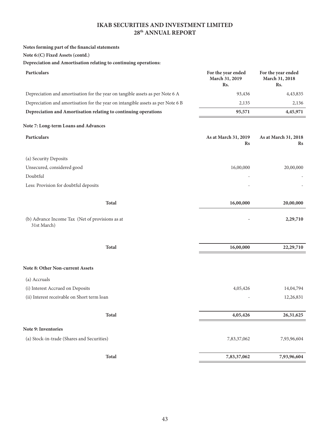#### **Notes forming part of the financial statements**

**Note 6:(C) Fixed Assets (contd.)**

#### **Depreciation and Amortisation relating to continuing operations:**

| <b>Particulars</b>                                                              | For the year ended<br>March 31, 2019<br>Rs. | For the year ended<br>March 31, 2018<br>Rs. |
|---------------------------------------------------------------------------------|---------------------------------------------|---------------------------------------------|
| Depreciation and amortisation for the year on tangible assets as per Note 6 A   | 93,436                                      | 4,43,835                                    |
| Depreciation and amortisation for the year on intangible assets as per Note 6 B | 2,135                                       | 2,136                                       |
| Depreciation and Amortisation relating to continuing operations                 | 95,571                                      | 4,45,971                                    |

#### **Note 7: Long-term Loans and Advances**

| Particulars                                                    | As at March 31, 2019<br>$\mathbf{R}s$ | As at March 31, 2018<br>$\mathbf{R}s$ |
|----------------------------------------------------------------|---------------------------------------|---------------------------------------|
| (a) Security Deposits                                          |                                       |                                       |
| Unsecured, considered good                                     | 16,00,000                             | 20,00,000                             |
| Doubtful                                                       |                                       |                                       |
| Less: Provision for doubtful deposits                          |                                       |                                       |
| <b>Total</b>                                                   | 16,00,000                             | 20,00,000                             |
| (b) Advance Income Tax (Net of provisions as at<br>31st March) |                                       | 2,29,710                              |
| Total                                                          | 16,00,000                             | 22,29,710                             |
| Note 8: Other Non-current Assets                               |                                       |                                       |
| (a) Accruals                                                   |                                       |                                       |
| (i) Interest Accrued on Deposits                               | 4,05,426                              | 14,04,794                             |
| (ii) Interest receivable on Short term loan                    |                                       | 12,26,831                             |
| <b>Total</b>                                                   | 4,05,426                              | 26,31,625                             |
| Note 9: Inventories                                            |                                       |                                       |
| (a) Stock-in-trade (Shares and Securities)                     | 7,83,37,062                           | 7,93,96,604                           |
| <b>Total</b>                                                   | 7,83,37,062                           | 7,93,96,604                           |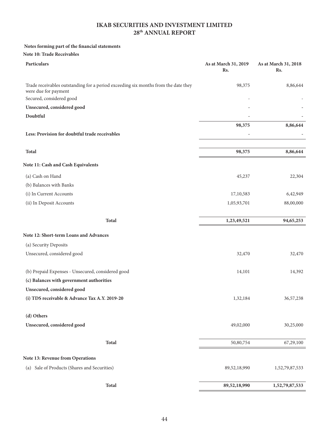#### **Notes forming part of the financial statements**

# **Note 10: Trade Receivables**

| Particulars                                                                                                                            | As at March 31, 2019<br>Rs. | As at March 31, 2018<br>Rs. |
|----------------------------------------------------------------------------------------------------------------------------------------|-----------------------------|-----------------------------|
| Trade receivables outstanding for a period exceeding six months from the date they<br>were due for payment<br>Secured, considered good | 98,375                      | 8,86,644                    |
| Unsecured, considered good                                                                                                             |                             |                             |
| Doubtful                                                                                                                               |                             |                             |
|                                                                                                                                        | 98,375                      | 8,86,644                    |
| Less: Provision for doubtful trade receivables                                                                                         |                             |                             |
| <b>Total</b>                                                                                                                           | 98,375                      | 8,86,644                    |
| <b>Note 11: Cash and Cash Equivalents</b>                                                                                              |                             |                             |
| (a) Cash on Hand                                                                                                                       | 45,237                      | 22,304                      |
| (b) Balances with Banks                                                                                                                |                             |                             |
| (i) In Current Accounts                                                                                                                | 17,10,583                   | 6,42,949                    |
| (ii) In Deposit Accounts                                                                                                               | 1,05,93,701                 | 88,00,000                   |
| Total                                                                                                                                  | 1,23,49,521                 | 94,65,253                   |
| <b>Note 12: Short-term Loans and Advances</b>                                                                                          |                             |                             |
| (a) Security Deposits                                                                                                                  |                             |                             |
| Unsecured, considered good                                                                                                             | 32,470                      | 32,470                      |
| (b) Prepaid Expenses - Unsecured, considered good                                                                                      | 14,101                      | 14,392                      |
| (c) Balances with government authorities                                                                                               |                             |                             |
| Unsecured, considered good                                                                                                             |                             |                             |
| (i) TDS receivable & Advance Tax A.Y. 2019-20                                                                                          | 1,32,184                    | 36,57,238                   |
| (d) Others                                                                                                                             |                             |                             |
| Unsecured, considered good                                                                                                             | 49,02,000                   | 30,25,000                   |
| <b>Total</b>                                                                                                                           | 50,80,754                   | 67,29,100                   |
| <b>Note 13: Revenue from Operations</b>                                                                                                |                             |                             |
| (a) Sale of Products (Shares and Securities)                                                                                           | 89,52,18,990                | 1,52,79,87,533              |
| <b>Total</b>                                                                                                                           | 89,52,18,990                | 1,52,79,87,533              |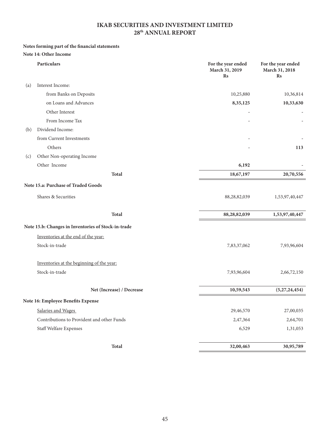#### **Notes forming part of the financial statements**

|                    | <b>Note 14: Other Income</b>                        |                                                       |                                                       |  |
|--------------------|-----------------------------------------------------|-------------------------------------------------------|-------------------------------------------------------|--|
| <b>Particulars</b> |                                                     | For the year ended<br>March 31, 2019<br>$\mathbf{R}s$ | For the year ended<br>March 31, 2018<br>$\mathbf{R}s$ |  |
| (a)                | Interest Income:                                    |                                                       |                                                       |  |
|                    | from Banks on Deposits                              | 10,25,880                                             | 10,36,814                                             |  |
|                    | on Loans and Advances                               | 8,35,125                                              | 10,33,630                                             |  |
|                    | Other Interest                                      |                                                       |                                                       |  |
|                    | From Income Tax                                     |                                                       |                                                       |  |
| (b)                | Dividend Income:                                    |                                                       |                                                       |  |
|                    | from Current Investments                            |                                                       |                                                       |  |
|                    | Others                                              |                                                       | 113                                                   |  |
| (c)                | Other Non-operating Income                          |                                                       |                                                       |  |
|                    | Other Income                                        | 6,192                                                 |                                                       |  |
|                    | <b>Total</b>                                        | 18,67,197                                             | 20,70,556                                             |  |
|                    | Note 15.a: Purchase of Traded Goods                 |                                                       |                                                       |  |
|                    | Shares & Securities                                 | 88,28,82,039                                          | 1,53,97,40,447                                        |  |
|                    | Total                                               | 88,28,82,039                                          | 1,53,97,40,447                                        |  |
|                    | Note 15.b: Changes in Inventories of Stock-in-trade |                                                       |                                                       |  |
|                    | Inventories at the end of the year:                 |                                                       |                                                       |  |
|                    | Stock-in-trade                                      | 7,83,37,062                                           | 7,93,96,604                                           |  |
|                    | Inventories at the beginning of the year:           |                                                       |                                                       |  |
|                    | Stock-in-trade                                      | 7,93,96,604                                           | 2,66,72,150                                           |  |
|                    | Net (Increase) / Decrease                           | 10,59,543                                             | (5,27,24,454)                                         |  |
|                    | Note 16: Employee Benefits Expense                  |                                                       |                                                       |  |
|                    | Salaries and Wages                                  | 29,46,570                                             | 27,00,035                                             |  |
|                    | Contributions to Provident and other Funds          | 2,47,364                                              | 2,64,701                                              |  |
|                    | Staff Welfare Expenses                              | 6,529                                                 | 1,31,053                                              |  |
|                    | <b>Total</b>                                        | 32,00,463                                             | 30,95,789                                             |  |

 $\overline{\phantom{a}}$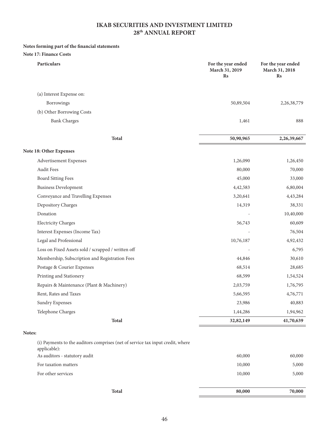#### **Notes forming part of the financial statements**

| Note 17: Finance Costs                             |                                            |                                            |
|----------------------------------------------------|--------------------------------------------|--------------------------------------------|
| Particulars                                        | For the year ended<br>March 31, 2019<br>Rs | For the year ended<br>March 31, 2018<br>Rs |
| (a) Interest Expense on:                           |                                            |                                            |
| Borrowings                                         | 50,89,504                                  | 2,26,38,779                                |
| (b) Other Borrowing Costs                          |                                            |                                            |
| <b>Bank Charges</b>                                | 1,461                                      | 888                                        |
| Total                                              | 50,90,965                                  | 2,26,39,667                                |
| Note 18: Other Expenses                            |                                            |                                            |
| Advertisement Expenses                             | 1,26,090                                   | 1,26,450                                   |
| <b>Audit Fees</b>                                  | 80,000                                     | 70,000                                     |
| <b>Board Sitting Fees</b>                          | 45,000                                     | 33,000                                     |
| <b>Business Development</b>                        | 4,42,583                                   | 6,80,004                                   |
| Conveyance and Travelling Expenses                 | 3,20,641                                   | 4,43,284                                   |
| Depository Charges                                 | 14,319                                     | 38,331                                     |
| Donation                                           | $\overline{\phantom{a}}$                   | 10,40,000                                  |
| <b>Electricity Charges</b>                         | 56,743                                     | 60,609                                     |
| Interest Expenses (Income Tax)                     |                                            | 76,504                                     |
| Legal and Professional                             | 10,76,187                                  | 4,92,432                                   |
| Loss on Fixed Assets sold / scrapped / written off |                                            | 6,795                                      |
| Membership, Subscription and Registration Fees     | 44,846                                     | 30,610                                     |
| Postage & Courier Expenses                         | 68,514                                     | 28,685                                     |
| Printing and Stationery                            | 68,599                                     | 1,54,524                                   |
| Repairs & Maintenance (Plant & Machinery)          | 2,03,759                                   | 1,76,795                                   |
| Rent, Rates and Taxes                              | 5,66,595                                   | 4,76,771                                   |
| Sundry Expenses                                    | 23,986                                     | 40,883                                     |
| Telephone Charges                                  | 1,44,286                                   | 1,94,962                                   |
| <b>Total</b>                                       | 32,82,149                                  | 41,70,639                                  |

#### **Notes:**

(i) Payments to the auditors comprises (net of service tax input credit, where applicable): As auditors - statutory audit 60,000 60,000 60,000 60,000 60,000 60,000 60,000 60,000 60,000 60,000 60,000 60,000 60,000 60,000 60,000 60,000 60,000 60,000 60,000 60,000 60,000 60,000 60,000 60,000 60,000 60,000 60,000 60, For taxation matters 10,000 5,000 5,000 5,000 5,000 5,000 5,000 5,000 5,000 5,000 5,000 5,000 5,000 5,000 5,000 5,000 5,000 5,000 5,000 5,000 5,000 5,000 5,000 5,000 5,000 5,000 5,000 5,000 5,000 5,000 5,000 5,000 5,000 5, For other services and the services of the services of the services of the services of the services of the services of the services of the services of the services of the services of the services of the services of the ser

**Total** 80,000 70,000 70,000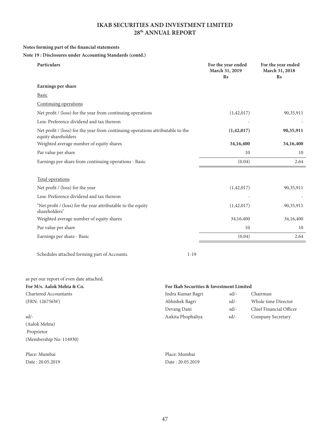#### **Notes forming part of the financial statements**

**Note 19 : Disclosures under Accounting Standards (contd.)**

| <b>Particulars</b>                                                                                     | For the year ended<br>March 31, 2019<br>R <sub>s</sub> | For the year ended<br>March 31, 2018<br>$\mathbf{R}s$ |
|--------------------------------------------------------------------------------------------------------|--------------------------------------------------------|-------------------------------------------------------|
| Earnings per share                                                                                     |                                                        |                                                       |
| Basic                                                                                                  |                                                        |                                                       |
| Continuing operations                                                                                  |                                                        |                                                       |
| Net profit / (loss) for the year from continuing operations                                            | (1,42,017)                                             | 90,35,911                                             |
| Less: Preference dividend and tax thereon                                                              |                                                        |                                                       |
| Net profit / (loss) for the year from continuing operations attributable to the<br>equity shareholders | (1, 42, 017)                                           | 90,35,911                                             |
| Weighted average number of equity shares                                                               | 34,16,400                                              | 34,16,400                                             |
| Par value per share                                                                                    | 10                                                     | 10                                                    |
| Earnings per share from continuing operations - Basic                                                  | (0.04)                                                 | 2.64                                                  |
|                                                                                                        |                                                        |                                                       |
| Total operations                                                                                       |                                                        |                                                       |
| Net profit / (loss) for the year                                                                       | (1,42,017)                                             | 90,35,911                                             |
| Less: Preference dividend and tax thereon                                                              |                                                        |                                                       |
| "Net profit / (loss) for the year attributable to the equity<br>shareholders"                          | (1,42,017)                                             | 90,35,911                                             |
| Weighted average number of equity shares                                                               | 34,16,400                                              | 34,16,400                                             |
| Par value per share                                                                                    | 10                                                     | 10                                                    |
| Earnings per share - Basic                                                                             | (0.04)                                                 | 2.64                                                  |
|                                                                                                        |                                                        |                                                       |

Schedules attached forming part of Accounts. 1-19

| as per our report of even date attached. |                                          |        |                         |
|------------------------------------------|------------------------------------------|--------|-------------------------|
| For M/s. Aalok Mehta & Co.               | For Ikab Securities & Investment Limited |        |                         |
| Chartered Accountants                    | Indra Kumar Bagri                        | $sd/-$ | Chairman                |
| (FRN: 126756W)                           | Abhishek Bagri                           | $sd/-$ | Whole time Director     |
|                                          | Devang Dani                              | $sd/-$ | Chief Financial Officer |
| $sd/$ -                                  | Ankita Phophaliya                        | $sd/-$ | Company Secretary       |
| (Aalok Mehta)                            |                                          |        |                         |
| Proprietor                               |                                          |        |                         |
| (Membership No: 114930)                  |                                          |        |                         |
|                                          |                                          |        |                         |
| Place: Mumbai                            | Place: Mumbai                            |        |                         |

Date : 20.05.2019 Date : 20.05.2019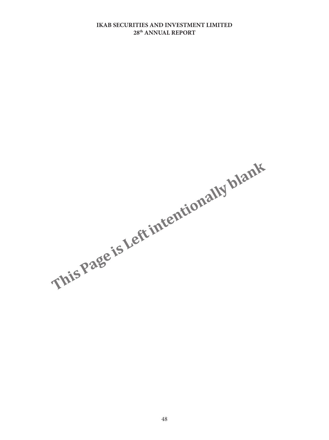**This Page is Left intentionally blank**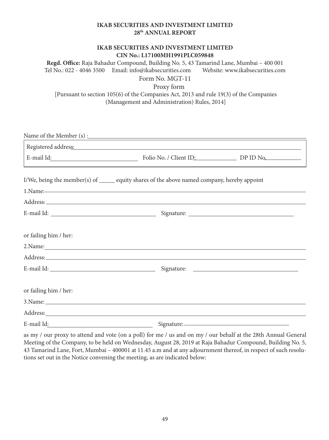### **IKAB SECURITIES AND INVESTMENT LIMITED CIN No.: L17100MH1991PLC059848**

**Regd. Office:** Raja Bahadur Compound, Building No. 5, 43 Tamarind Lane, Mumbai – 400 001 Tel No.: 022 - 4046 3500 Email: info@ikabsecurities.com Website: www.ikabsecurities.com Form No. MGT-11

Proxy form

 [Pursuant to section 105(6) of the Companies Act, 2013 and rule 19(3) of the Companies (Management and Administration) Rules, 2014]

|                       | Registered address: and the contract of the contract of the contract of the contract of the contract of the contract of the contract of the contract of the contract of the contract of the contract of the contract of the co |  |
|-----------------------|--------------------------------------------------------------------------------------------------------------------------------------------------------------------------------------------------------------------------------|--|
|                       | E-mail Id: Folio No. / Client ID: DP ID No.                                                                                                                                                                                    |  |
|                       |                                                                                                                                                                                                                                |  |
|                       | I/We, being the member(s) of equity shares of the above named company, hereby appoint                                                                                                                                          |  |
|                       |                                                                                                                                                                                                                                |  |
|                       |                                                                                                                                                                                                                                |  |
|                       |                                                                                                                                                                                                                                |  |
|                       |                                                                                                                                                                                                                                |  |
| or failing him / her: |                                                                                                                                                                                                                                |  |
|                       |                                                                                                                                                                                                                                |  |
|                       |                                                                                                                                                                                                                                |  |
|                       |                                                                                                                                                                                                                                |  |
|                       |                                                                                                                                                                                                                                |  |
| or failing him / her: |                                                                                                                                                                                                                                |  |
|                       |                                                                                                                                                                                                                                |  |
|                       |                                                                                                                                                                                                                                |  |
|                       | Signature:                                                                                                                                                                                                                     |  |

as my / our proxy to attend and vote (on a poll) for me / us and on my / our behalf at the 28th Annual General Meeting of the Company, to be held on Wednesday, August 28, 2019 at Raja Bahadur Compound, Building No. 5, 43 Tamarind Lane, Fort, Mumbai – 400001 at 11.45 a.m and at any adjournment thereof, in respect of such resolutions set out in the Notice convening the meeting, as are indicated below: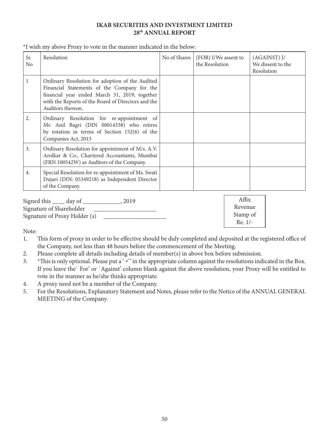| Sr.<br>N <sub>o</sub> | Resolution                                                                                                                                                                                                                 | No of Shares | (FOR) I/We assent to<br>the Resolution |                 | (AGAINST) I/<br>We dissent to the<br>Resolution |
|-----------------------|----------------------------------------------------------------------------------------------------------------------------------------------------------------------------------------------------------------------------|--------------|----------------------------------------|-----------------|-------------------------------------------------|
| $\mathbf{1}$          | Ordinary Resolution for adoption of the Audited<br>Financial Statements of the Company for the<br>financial year ended March 31, 2019, together<br>with the Reports of the Board of Directors and the<br>Auditors thereon. |              |                                        |                 |                                                 |
| 2.                    | Ordinary Resolution for re-appointment of<br>Mr. Anil Bagri (DIN 00014338) who retires<br>by rotation in terms of Section 152(6) of the<br>Companies Act, 2013                                                             |              |                                        |                 |                                                 |
| 3.                    | Ordinary Resolution for appointment of M/s. A.V.<br>Arolkar & Co., Chartered Accountants, Mumbai<br>(FRN 100542W) as Auditors of the Company.                                                                              |              |                                        |                 |                                                 |
| 4.                    | Special Resolution for re-appointment of Ms. Swati<br>Dujari (DIN: 05349218) as Independent Director<br>of the Company.                                                                                                    |              |                                        |                 |                                                 |
|                       | $\rightarrow$ 2019<br>Signature of Shareholder                                                                                                                                                                             |              |                                        | Affx<br>Revenue |                                                 |

\*I wish my above Proxy to vote in the manner indicated in the below:

Signature of Shareholder \_\_\_\_\_\_\_\_\_\_\_\_\_\_\_\_\_\_\_\_ Signature of Proxy Holder (s) \_\_\_\_\_\_\_\_\_\_\_\_\_\_\_\_\_\_\_\_

Note:

1. This form of proxy in order to be effective should be duly completed and deposited at the registered office of the Company, not less than 48 hours before the commencement of the Meeting.

Stamp of Re. 1/-

- 2. Please complete all details including details of member(s) in above box before submission.
- 3. \*This is only optional. Please put a ' $\checkmark$ ' in the appropriate column against the resolutions indicated in the Box. If you leave the` For' or `Against' column blank against the above resolution, your Proxy will be entitled to vote in the manner as he/she thinks appropriate.
- 4. A proxy need not be a member of the Company.
- 5. For the Resolutions, Explanatory Statement and Notes, please refer to the Notice of the ANNUAL GENERAL MEETING of the Company.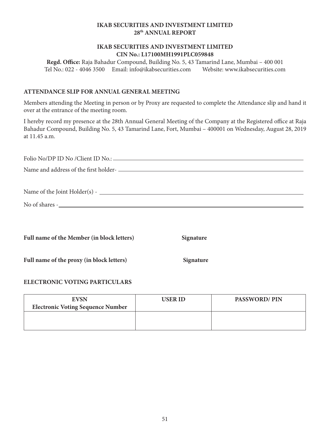# **IKAB SECURITIES AND INVESTMENT LIMITED CIN No.: L17100MH1991PLC059848**

**Regd. Office:** Raja Bahadur Compound, Building No. 5, 43 Tamarind Lane, Mumbai – 400 001 Tel No.: 022 - 4046 3500 Email: info@ikabsecurities.com Website: www.ikabsecurities.com

# **ATTENDANCE SLIP FOR ANNUAL GENERAL MEETING**

Members attending the Meeting in person or by Proxy are requested to complete the Attendance slip and hand it over at the entrance of the meeting room.

I hereby record my presence at the 28th Annual General Meeting of the Company at the Registered office at Raja Bahadur Compound, Building No. 5, 43 Tamarind Lane, Fort, Mumbai – 400001 on Wednesday, August 28, 2019 at 11.45 a.m.

| Folio No/DP ID No /Client ID No.: $\frac{1}{2}$ |           |
|-------------------------------------------------|-----------|
| Name and address of the first holder-           |           |
|                                                 |           |
| Name of the Joint Holder(s) $-$                 |           |
|                                                 |           |
|                                                 |           |
|                                                 |           |
| Full name of the Member (in block letters)      | Signature |
|                                                 |           |
| Full name of the proxy (in block letters)       | Signature |
|                                                 |           |

# **ELECTRONIC VOTING PARTICULARS**

| <b>EVSN</b><br><b>Electronic Voting Sequence Number</b> | <b>USER ID</b> | <b>PASSWORD/PIN</b> |
|---------------------------------------------------------|----------------|---------------------|
|                                                         |                |                     |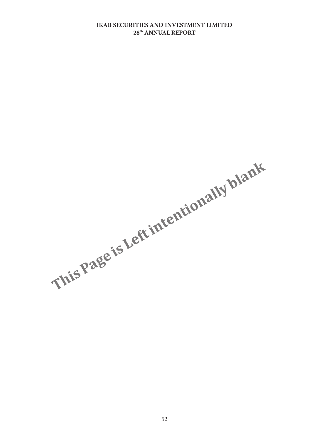**This Page is Left intentionally blank**